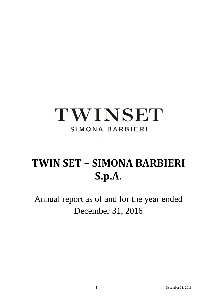# TWINSET SIMONA BARBIERI

# **TWIN SET – SIMONA BARBIERI S.p.A.**

Annual report as of and for the year ended December 31, 2016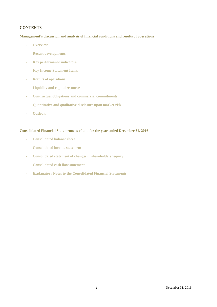# **CONTENTS**

**Management's discussion and analysis of financial conditions and results of operations** 

- **Overview**
- **Recent developments**
- **Key performance indicators**
- **Key Income Statement Items**
- **Results of operations**
- **Liquidity and capital resources**
- **Contractual obligations and commercial commitments**
- **Quantitative and qualitative disclosure upon market risk**
- **Outlook**

# **Consolidated Financial Statements as of and for the year ended December 31, 2016**

- **Consolidated balance sheet**
- **Consolidated income statement**
- **Consolidated statement of changes in shareholders' equity**
- **Consolidated cash flow statement**
- **Explanatory Notes to the Consolidated Financial Statements**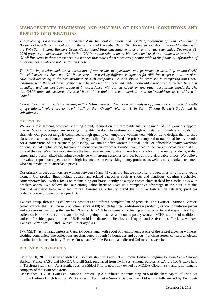# **MANAGEMENT'S DISCUSSION AND ANALYSIS OF FINANCIAL CONDITIONS AND RESULTS OF OPERATIONS**

*The following is a discussion and analysis of the financial conditions and results of operations of Twin Set – Simona Barbieri Group (Group) as of and for the year ended December 31, 2016. This discussion should be read together with the Twin Set – Simona Barbieri Group Consolidated Financial Statements as of and for the year ended December 31, 2016 prepared in accordance with Italian GAAP and the related notes. We have condensed and renamed certain Italian GAAP line items in these statements in a manner that makes them more easily comparable to the financial information of other businesses who do not use Italian GAAP.* 

*The following section includes a discussion of our results of operations and performance according to non-GAAP financial measures. Such non-GAAP measures are used by different companies for differing purposes and are often calculated according to the circumstances of such companies. Caution should be exercised in comparing non-GAAP measures with those of other companies. The information presented under non-GAAP measures discussed herein is unaudited and has not been prepared in accordance with Italian GAAP or any other accounting standards. The non-GAAP financial measures discussed herein have limitations as analytical tools, and should not be considered in isolation.* 

*Unless the context indicates otherwise, in this "Management's discussion and analysis of financial condition and results of operations," references to "we," "us" or the "Group" refer to: Twin Set – Simona Barbieri S.p.A. and its subsidiaries.*

# **OVERVIEW**

We are a fast growing women's clothing brand, focused on the affordable luxury segment of the women's apparel market. We sell a comprehensive range of quality products to customers through our retail and wholesale distribution channels. Our product range is comprised of high-quality, contemporary womenswear with on-trend designs that reflect a classic, romantic and contemporary attitude, typically offered at affordable prices compared to traditional luxury brands. As a cornerstone of our business philosophy, we aim to offer women a "total look" of affordable luxury wardrobe options, so that sophisticated, fashion-conscious women can wear TwinSet from head to toe, for any occasion and at any time of the day. We offer our customers the features associated with a luxury brand, such as high-quality products, stylish stores and a personalized shopping experience with strong customer service, but at more affordable prices. We believe our value proposition appeals to both high-income customers seeking luxury products, as well as mass-market customers who can "trade up" at affordable prices.

Our primary target customers are women between 35 and 45 years old, but we also offer product lines for girls and young women. Our product lines include apparel and related categories such as shoes and handbags, creating a cohesive, contemporary look, with a focus on maintaining our brand identity as a style choice characterized by classic looks with timeless appeal. We believe that our strong Italian heritage gives us a competitive advantage in the pursuit of this classical aesthetic because it legitimizes Twinset as a luxury brand that, unlike fast-fashion retailers, produces fashion-forward, contemporary products.

Twinset group, through its collections, produces and offers a complete line of products. The Twinset – Simona Barbieri collection was the first line in production (since 2000) which features ready-to-wear products, its iconic knitwear pieces and accessories, including the herobag "Cecile Deux". It has a casual-chic feeling and is romantic and elegant. My Twin collection is more street and urban oriented, targeting the active and contemporary woman. SCEE is a line of traditional and comfortable apparel products. U&B world is dedicated to Beachwear, Lingerie and Active lines. For kids, we have Twinset Baby aged 2-3 and Twinset Junior aged 4-6.

TWINSET has its headquarters in Carpi (Modena) and, with about 900 employees, is one of the fastest growing womens' clothing companies. The collections are distributed through 78 boutiques and outlets, franchise stores, corners, wholesale distribution channels in Italy, Europe, Russia and Middle East and a dedicated Online sales website.

#### **RECENT DEVELOPMENTS**

On June 30, 2016, Tessitura Sidoti S.r.l. sold its stake in Twin Set – Simona Barbieri Belgium to Twin Set – Simona Barbieri France SASU and MO.DA Gioielli S.r.l. purchased from Twin Set- Simona Barbieri S.p.A. the 100% stake held in Tessitura Sidoti S.r.l. As a result, Tessitura Sidoti S.r.l. is now fully owned by MO.DA Gioielli S.r.l. and is no longer a company of the Twin Set Group.

On October 18, 2016 Twin Set – Simona Barbieri S.p.A purchased the remaining 20% of the share capital of Twin-Set Simona Barbieri Dutch holding BV. As a result Twin Set – Simona Barbieri East Ltd is now fully owned by Twin Set-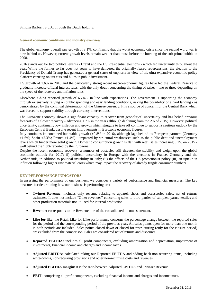#### Simona Barbieri S.p.A. through the Dutch holding.

#### **General economic conditions and industry overview**

The global economy overall saw growth of 3.1%, confirming that the worst economic crisis since the second word war is now behind us. However, current growth levels remain weaker than those before the bursting of the sub-prime bubble in 2008.

2016 stands out for two political events - Brexit and the US Presidential elections - which fed uncertainty throughout the year. While the former so far does not seem to have delivered the originally feared repercussions, the election to the Presidency of Donald Trump has generated a general sense of euphoria in view of his ultra-expansive economic policy platform centring on tax cuts and hikes in public investment.

US growth of 1.6% in 2016 and the particularly strong recent macro-economic figures have led the Federal Reserve to gradually increase official interest rates, with the only doubt concerning the timing of raises - two or three depending on the speed of the recovery and inflation rates.

Elsewhere, China reported growth of 6.7% - in line with expectations. The government is supporting the economy through extensively relying on public spending and easy lending conditions, risking the possibility of a hard landing - as demonstrated by the continual deterioration of the Chinese currency. It is a source of concern for the Central Bank which was forced to support stability through currency interventions.

The Eurozone economy shown a significant capacity to recover from geopolitical uncertainty and has belied previous forecasts of a slower recovery - advancing 1.7% in the year (although declining from the 2% of 2015). However, political uncertainty, continually low inflation and growth which struggle to take off continue to support a cautious outlook by the European Central Bank, despite recent improvements in Eurozone economic figures.

Italy continues its contained but stable growth (+0.8% in 2016), although lags behind its European partners (Germany +1.6%; Spain +2.3%; France +1.4%) - impacted by structural weaknesses such as the public debt and unemployment levels which hinder more solid growth. Domestic consumption growth is flat, with retail sales increasing 0.1% on 2015 well behind the 1.8% reported by the Eurozone.

Despite the recent economic recovery, a number of obstacles still threaten the stability and weigh upon the global economic outlook for 2017: (i) political uncertainty in Europe with the elections in France, Germany and the Netherlands, in addition to political instability in Italy; (ii) the effects of the US protectionist policy (iii) an uptake in inflation following higher raw material costs which may impact the recovery of already fragile consumer numbers.

# **KEY PERFORMANCE INDICATORS**

In assessing the performance of our business, we consider a variety of performance and financial measures. The key measures for determining how our business is performing are:

- **Twinset Revenue:** includes only revenue relating to apparel, shoes and accessories sales, net of returns estimates. It does not include "Other revenues" concerning sales to third parties of samples, yarns, textiles and other production materials not utilized for internal production.
- **Revenue:** corresponds to the Revenue line of the consolidated income statement.
- **Like for like**: the Retail Like-for-Like performance concerns the percentage change between the reported sales for the period and the corresponding period of the previous year. All sales points open for more than one month in both periods are included. Sales points closed down or closed for restructuring (only for the closure period) are excluded from the comparison. Sales are considered net of returns and discounts.
- **Reported EBITDA:** includes all profit components, excluding amortization and depreciation, impairment of investments, financial income and charges and income taxes.
- **Adjusted EBITDA:** calculated taking our Reported EBITDA and adding back non-recurring items, including write-downs, non-recurring provisions and other non-recurring costs and revenues.
- **Adjusted EBITDA margin:** it is the ratio between Adjusted EBITDA and Twinset Revenue.
- **EBIT:** comprising all profit components, excluding financial income and charges and income taxes.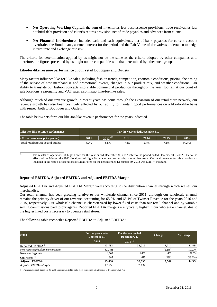- **Net Operating Working Capital:** the sum of inventories less obsolescence provisions, trade receivables less doubtful debt provision and client's returns provision, net of trade payables and advances from clients.
- **Net Financial Indebtedness**: includes cash and cash equivalents, net of bank payables for current account overdrafts, the Bond, loans, accrued interest for the period and the Fair Value of derivatives undertaken to hedge interest rate and exchange rate risk.

The criteria for determination applied by us might not be the same as the criteria adopted by other companies and, therefore, the figures presented by us might not be comparable with that determined by other such groups.

# **Like-for-like revenue performance of our retail Boutiques and Outlets**

Many factors influence like-for-like sales, including fashion trends, competition, economic conditions, pricing, the timing of the release of new merchandise and promotional events, changes in our product mix, and weather conditions. Our ability to translate our fashion concepts into viable commercial production throughout the year, footfall at our point of sale locations, seasonality and VAT rates also impact like-for-like sales.

Although much of our revenue growth in recent years has come through the expansion of our retail store network, our revenue growth has also been positively affected by our ability to maintain good performances on a like-for-like basis with respect both to Boutiques and Outlets.

The table below sets forth our like-for-like revenue performance for the years indicated.

| Like-for-like revenue performance   | For the year ended December 31, |              |      |      |      |           |
|-------------------------------------|---------------------------------|--------------|------|------|------|-----------|
| $(\%$ increase over prior period).  | 2011                            | $2012^{(1)}$ | 2013 | 2014 | 2015 | 2016      |
| Total retail (Boutique and outlets) | 5.2%                            | 5.5%         | 7.8% | 2.4% | 7.1% | $(4.2\%)$ |

(1) The results of operations of Light Force for the year ended December 31, 2012 refer to the period ended December 30, 2012. Due to the effects of the Merger, the 2012 fiscal year of Light Force was one business day shorter than usual. Our retail revenue for this extra day not included in the results of operations of Light Force for the period ended December 30, 2012 was Euro 74 thousand.

# **Reported EBITDA, Adjusted EBITDA and Adjusted EBITDA Margin**

Adjusted EBITDA and Adjusted EBITDA Margin vary according to the distribution channel through which we sell our merchandise.

Our retail channel has been growing relative to our wholesale channel since 2011, although our wholesale channel remains the primary driver of our revenue, accounting for 65.0% and 66.1% of Twinset Revenue for the years 2016 and 2015, respectively. Our wholesale channel is characterized by lower fixed costs than our retail channel and by variable selling commissions paid to our agents. Reported EBITDA margins are typically higher in our wholesale channel, due to the higher fixed costs necessary to operate retail stores.

The following table reconciles Reported EBITDA to Adjusted EBITDA:

| $\epsilon$ 000                       | For the year ended<br>December 31, | For the year ended<br>December 31, | <b>Change</b> | % Change   |
|--------------------------------------|------------------------------------|------------------------------------|---------------|------------|
|                                      | 2016                               | $2015^{(1)}$                       |               |            |
| Reported EBITDA <sup>(1)</sup>       | 43,733                             | 36,019                             | 7.714         | 21.4%      |
| Non-recurring obsolescence provision | (2,288)                            |                                    | (2,288)       | 100.0%     |
| Non-recurring costs                  | 1,808                              | 1,402                              | 406           | 29.0%      |
| Other items $^{(1)}$                 | 385                                | 675                                | (290)         | $(43.0\%)$ |
| <b>Adjusted EBITDA</b>               | 43,638                             | 38,096                             | 5,542         | 14.5%      |
| <b>Adjusted EBITDA Margin</b>        | 17.9%                              | $16.0\%$                           |               |            |

1 - The amounts as of December 31, 2015 were reclassified to make them comparable with those as of December 31, 2016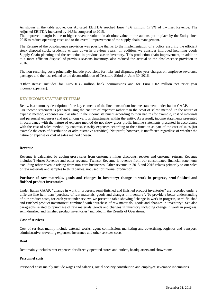As shown in the table above, our Adjusted EBITDA reached Euro 43.6 million, 17.9% of Twinset Revenue. The Adjusted EBITDA increased by 14.5% compared to 2015.

The improved margin is due to higher revenue volume in absolute value, to the actions put in place by the Entity since 2015 to reduce operating costs and to the overall improvement of the supply chain management.

The Release of the obsolescence provision was possible thanks to the implementation of a policy ensuring the efficient stock disposal stock, prudently written down in previous years. In addition, we consider improved incoming goods Supply Chain planning and the reduction in previous season inventory. This production chain improvement, in addition to a more efficient disposal of previous seasons inventory, also reduced the accrual to the obsolescence provision in 2016.

The non-recurring costs principally include provisions for risks and disputes, prior year charges on employee severance packages and the loss related to the deconsolidation of Tessitura Sidoti on June 30, 2016.

"Other items" includes for Euro 0.36 million bank commissions and for Euro 0.02 million net prior year income/(expenses).

# **KEY INCOME STATEMENT ITEMS**

Below is a summary description of the key elements of the line items of our income statement under Italian GAAP. Our income statement is prepared using the "nature of expense" rather than the "cost of sales" method. In the nature of expense method, expenses are classified in the income statement according to their nature (for example, cost of materials and personnel expenses) and not among various departments within the entity. As a result, income statements presented in accordance with the nature of expense method do not show gross profit. Income statements presented in accordance with the cost of sales method, by contrast, classify expenses according to their function as part of the cost of sales (for example the costs of distribution or administrative activities). Net profit, however, is unaffected regardless of whether the nature of expense or cost of sales method chosen.

#### **Revenue**

Revenue is calculated by adding gross sales from customers minus discounts, rebates and customer returns. Revenue includes Twinset Revenue and other revenue. Twinset Revenue is revenue from our consolidated financial statements excluding other revenue arising from non-core businesses. Other revenue in 2015 and 2016 relates primarily to our sales of raw materials and samples to third parties, not used for internal production.

# **Purchase of raw materials, goods and changes in inventory; change in work in progress, semi-finished and finished product inventories**

Under Italian GAAP, "change in work in progress, semi-finished and finished product inventories" are recorded under a different line item than "purchase of raw materials, goods and changes in inventory". To provide a better understanding of our product costs, for each year under review, we present a table showing "change in work in progress, semi-finished and finished product inventories" combined with "purchase of raw materials, goods and changes in inventory". See also paragraphs related to "purchase of raw materials, goods and changes in inventory including change in work in progress, semi-finished and finished product inventories" included in the Results of Operations.

#### **Cost of services**

Cost of services mainly include external works, agent commission, marketing and advertising, logistics and transport, administrative, travelling expenses, insurance and other services costs.

#### **Rent**

Rent mainly includes rent expenses for directly operated stores and outlets, headquarters and showrooms.

#### **Personnel costs**

Personnel costs mainly include wages and salaries, social security contribution and employee severance indemnities.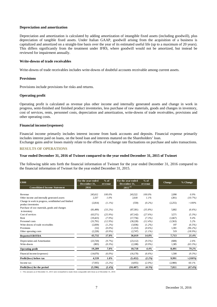#### **Depreciation and amortization**

Depreciation and amortization is calculated by adding amortization of intangible fixed assets (including goodwill), plus depreciation of tangible fixed assets. Under Italian GAAP, goodwill arising from the acquisition of a business is capitalized and amortized on a straight-line basis over the year of its estimated useful life (up to a maximum of 20 years). This differs significantly from the treatment under IFRS, where goodwill would not be amortized, but instead be reviewed for impairment annually.

# **Write-downs of trade receivables**

Write-downs of trade receivables includes write-downs of doubtful accounts receivable among current assets.

# **Provisions**

Provisions include provisions for risks and returns.

# **Operating profit**

Operating profit is calculated as revenue plus other income and internally generated assets and change in work in progress, semi-finished and finished product inventories, less purchase of raw materials, goods and changes in inventory, cost of services, rents, personnel costs, depreciation and amortization, write-downs of trade receivables, provisions and other operating costs.

# **Financial income/(expenses)**

Financial income primarily includes interest income from bank accounts and deposits. Financial expense primarily includes interest paid on loans, on the bond loan and interests matured on the Shareholders' loan.

Exchange gains and/or losses mainly relate to the effects of exchange rate fluctuations on purchase and sales transactions.

# **RESULTS OF OPERATIONS**

# **Year ended December 31, 2016 of Twinset compared to the year ended December 31, 2015 of Twinset**

The following table sets forth the financial information of Twinset for the year ended December 31, 2016 compared to the financial information of Twinset for the year ended December 31, 2015.

| $\bigoplus$ 000                                                              | For the year ended<br>December 31, | $%$ of<br>revenue | For the year ended<br>December 31, | $%$ of<br>revenue | Change  | % Change    |
|------------------------------------------------------------------------------|------------------------------------|-------------------|------------------------------------|-------------------|---------|-------------|
| <b>Consolidated Income Statement</b>                                         | 2016                               |                   | $2015^{(1)}$                       |                   |         |             |
|                                                                              |                                    |                   |                                    |                   |         |             |
| Revenue                                                                      | 245,612                            | $100.0\%$         | 243,522                            | 100.0%            | 2,090   | $0.9\%$     |
| Other income and internally generated assets                                 | 2,337                              | 1.0%              | 2,618                              | 1.1%              | (281)   | (10.7%)     |
| Change in work in progress, semifinished and finished<br>product inventories | (2,814)                            | $(1.1\%)$         | (559)                              | $(0.2\%)$         | (2,255) | $>100\%$    |
| Purchase of raw materials, goods and changes<br>in inventory                 | (81,499)                           | (33.2%)           | (87,301)                           | (35.8%)           | 5,802   | $(6.6\%)$   |
| Cost of services                                                             | (63,571)                           | (25.9%)           | (67, 142)                          | (27.6%)           | 3,571   | $(5.3\%)$   |
| Rent                                                                         | (19, 423)                          | (7.9%             | (17,756)                           | $(7.3\%)$         | (1,667) | $9.4\%$     |
| Personnel costs                                                              | (31,791)                           | $(12.9\%)$        | (30,228)                           | $(12.4\%)$        | (1,563) | 5.2%        |
| Write-downs of trade receivables                                             | (2,839)                            | $(1.2\%)$         | (3,036)                            | $(1.2\%)$         | 197     | $(6.5\%)$   |
| Provisions                                                                   | (52)                               | $(0.0\%)$         | (1,353)                            | $(0.6\%)$         | 1,301   | $(96.2\%)$  |
| Other operating costs                                                        | (2,228)                            | $(0.9\%)$         | (2,747)                            | $(1.1\%)$         | 519     | $(18.9\%)$  |
| <b>Reported EBITDA</b>                                                       | 43,732                             | 17.8%             | 36,019                             | 14.8%             | 7,713   | 21.4%       |
| Depreciation and Amortization                                                | (23,720)                           | $(9.7\%)$         | (23, 112)                          | $(9.5\%)$         | (608)   | $2.6\%$     |
| Write-downs                                                                  | (803)                              | $(0.3\%)$         | (2,188)                            | $(0.9\%)$         | 1,385   | $(63.3\%)$  |
| <b>Operating profit</b>                                                      | 19.209                             | 7.8%              | 10,718                             | 4.4%              | 8,491   | 79.2%       |
| Financial income/(expenses)                                                  | (14,670)                           | $(6.0\%)$         | (16,170)                           | $(6.6\%)$         | 1,500   | $(9.3\%)$   |
| Profit/(loss) before tax                                                     | 4.539                              | 1.8%              | (5, 452)                           | $(2.2\%)$         | 9,991   | $> (100\%)$ |
| Income tax                                                                   | (7,935)                            | $(3.2\%)$         | (4,955)                            | $(2.0\%)$         | (2,980) | 60.1%       |
| Profit/(loss) for the period                                                 | (3,396)                            | $(1.4\%)$         | (10, 407)                          | $(4.3\%)$         | 7,011   | $(67.4\%)$  |

1 - The amounts as of December 31, 2015 were reclassified to make them comparable with those as of December 31, 2016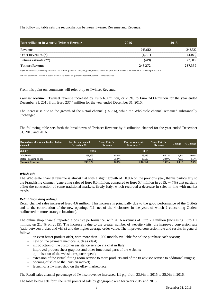The following table sets the reconciliation between Twinset Revenue and Revenue:

| <b>Reconciliation Revenue vs Twinset Revenue</b> | 2016    | 2015    |
|--------------------------------------------------|---------|---------|
| Revenue                                          | 245.612 | 243.522 |
| Other Revenues $(*)$                             | (1,791) | (4,163) |
| Returns estimate $(**)$                          | (449)   | (2,000) |
| <b>Twinset Revenue</b>                           | 243.372 | 237.359 |

(\*) Other revenues p rincipally concern sales to third parties of samples, yarns, textiles and o ther prod uction materials not utilised for internal prod uction

(\*\*) The estimate of returns is b ased o n histo ric trends o f quantities returned, valued at full sales price

From this point on, comments will refer only to Twinset Revenue.

*Twinset revenue.* Twinset revenue increased by Euro 6.0 million, or 2.5%, to Euro 243.4 million for the year ended December 31, 2016 from Euro 237.4 million for the year ended December 31, 2015.

The increase is due to the growth of the Retail channel (+5.7%), while the Wholesale channel remained substantially unchanged.

The following table sets forth the breakdown of Twinset Revenue by distribution channel for the year ended December 31, 2015 and 2016.

| <b>Breakdown of revenue by distribution</b><br>channel | For the year ended<br>December 31, | % on Twin Set<br>Revenue | For the year ended<br>December 31, | % on Twin Set<br>Revenue | <b>Change</b> | % Change |
|--------------------------------------------------------|------------------------------------|--------------------------|------------------------------------|--------------------------|---------------|----------|
| $(\boldsymbol{\in}000)$                                | 2016                               |                          | 2015                               |                          |               |          |
| Wholesale                                              | 158.293                            | 65.0%                    | 156,849                            | 66.1%                    | 1,444         | 0.9%     |
| Retail (including on line)                             | 85,079                             | 35.0%                    | 80.510                             | 33.9%                    | 4,569         | 5.7%     |
| <b>Twinset Revenue</b>                                 | 243,372                            | 100%                     | 237,359                            | 100%                     | 6.013         | 2.5%     |

# *Wholesale*

The Wholesale channel revenue is almost flat with a slight growth of +0.9% on the previous year, thanks particularly to the Franchising channel (generating sales of Euro 8.0 million, compared to Euro 5.4 million in 2015, +47%) that partially offset the contraction of some traditional markets, firstly Italy, which recorded a decrease in sales in line with market trends.

#### *Retail (including online)*

Retail channel sales increased Euro 4.6 million. This increase is principally due to the good performance of the Outlets and to the contribution of the new openings (11, net of the 4 closures in the year, of which 2 concerning Outlets reallocated to more strategic locations).

The online shop channel reported a positive performance, with 2016 revenues of Euro 7.1 million (increasing Euro 1.2 million, up 21.4% on 2015). The increase is due to the greater number of website visits, the improved conversion rate (ratio between orders and visits) and the higher average order value. The improved conversion rate and results in general follow:

- an even better product offer, with more than 1,000 models available for online purchase each season;
- new online payment methods, such as ideal;
- introduction of the customer assistance service via chat in Italy;
- improved product sheet graphics and other functional parts of the website;
- optimisation of the website response speed:
- extension of the virtual fitting room service to more products and of the fit advisor service to additional ranges;
- opening of sales to the Russian market;
- launch of a Twinset shop on the eBay marketplace.

The Retail sales channel percentage of Twinset revenue increased 1.1 p.p. from 33.9% in 2015 to 35.0% in 2016.

The table below sets forth the retail points of sale by geographic area for years 2015 and 2016.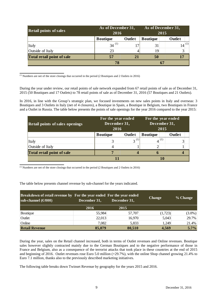| <b>Retail points of sales</b> | As of December 31,<br>2016 |        | As of December 31,<br>2015 |            |  |
|-------------------------------|----------------------------|--------|----------------------------|------------|--|
|                               | <b>B</b> outique           | Outlet | <b>Boutique</b>            | Outlet     |  |
| <i>Italy</i>                  | 34                         |        | 31                         | $14^{(1)}$ |  |
| Outside of Italy              | 23                         |        | 19                         |            |  |
| Total retail point of sale    | 57                         |        | 50                         |            |  |
|                               |                            |        | 67                         |            |  |

(1) Numbers are net of the store closings that occurred in the period (2 Boutiques and 2 Outlets in 2016)

During the year under review, our retail points of sale network expanded from 67 retail points of sale as of December 31, 2015 (50 Boutiques and 17 Outlets) to 78 retail points of sale as of December 31, 2016 (57 Boutiques and 21 Outlets).

In 2016, in line with the Group's strategic plan, we focused investments on new sales points in Italy and overseas: 3 Boutiques and 3 Outlets in Italy (net of 4 closures), a Boutique in Spain, a Boutique in Belgium, two Boutiques in France and a Outlet in Russia. The table below presents the points of sale openings for the year 2016 compared to the year 2015:

| <b>Retail points of sales openings</b> |                 | For the year ended<br>December 31,<br>2016 |                 | For the year ended<br>December 31,<br>2015 |
|----------------------------------------|-----------------|--------------------------------------------|-----------------|--------------------------------------------|
|                                        | <b>Boutique</b> | Outlet                                     | <b>Boutique</b> | Outlet                                     |
| Italy                                  |                 |                                            |                 | (1)                                        |
| Outside of Italy                       |                 |                                            |                 |                                            |
| Total retail point of sale             |                 |                                            |                 |                                            |
|                                        |                 |                                            |                 |                                            |

(1) Numbers are net of the store closings that occurred in the period (2 Boutiques and 2 Outlets in 2016)

The table below presents channel revenue by sub-channel for the years indicated.

| sub-channel $(\text{\textsterling}000)$ | <b>Breakdown of retail revenue by For the year ended For the year ended</b><br>December 31,<br>December 31, |        | <b>Change</b> | % Change  |
|-----------------------------------------|-------------------------------------------------------------------------------------------------------------|--------|---------------|-----------|
|                                         | 2016                                                                                                        | 2015   |               |           |
| Boutique                                | 55,984                                                                                                      | 57,707 | (1,723)       | $(3.0\%)$ |
| Outlet                                  | 22,013                                                                                                      | 16,970 | 5,043         | 29.7%     |
| Online                                  | 7,082                                                                                                       | 5,833  | 1,249         | 21.4%     |
| <b>Retail Revenue</b>                   | 85,079                                                                                                      | 80,510 | 4,569         | 5.7%      |

During the year, sales on the Retail channel increased, both in terms of Outlet revenues and Online revenues. Boutique sales however slightly contracted mainly due to the German Boutiques and to the negative performance of those in France and Belgium, also as a consequence of the terrorist attacks that took place in these countries at the end of 2015 and beginning of 2016. Outlet revenues rose Euro 5.0 million (+29.7%), with the online Shop channel growing 21.4% to Euro 7.1 million, thanks also to the previously described marketing initiatives.

The following table breaks down Twinset Revenue by geography for the years 2015 and 2016.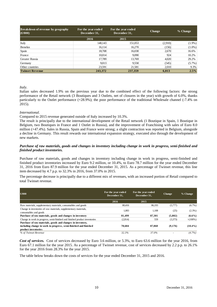| <b>Breakdown of revenue by geography</b><br>$(\boldsymbol{\in}000)$ | For the year ended<br>December 31, | For the year ended<br>December 31, | <b>Change</b> | % Change  |
|---------------------------------------------------------------------|------------------------------------|------------------------------------|---------------|-----------|
|                                                                     | 2016                               | 2015                               |               |           |
| Italy                                                               | 148,143                            | 151,053                            | (2,910)       | $(1.9\%)$ |
| Benelux                                                             | 16,114                             | 16,270                             | (156)         | $(1.0\%)$ |
| Spain                                                               | 18,708                             | 16,038                             | 2,670         | 16.6%     |
| France                                                              | 10,014                             | 9,090                              | 924           | 10.2%     |
| Greater Russia                                                      | 17,789                             | 13,769                             | 4,020         | 29.2%     |
| Germany                                                             | 9,013                              | 9.558                              | (545)         | $(5.7\%)$ |
| Other countries                                                     | 23,591                             | 21,581                             | 2.010         | 9.3%      |
| <b>Twinset Revenue</b>                                              | 243,372                            | 237,359                            | 6,013         | 2.5%      |

*Italy.* 

Italian sales decreased 1.9% on the previous year due to the combined effect of the following factors: the strong performance of the Retail network (3 Boutiques and 3 Outlets, net of closures in the year) with growth of 6.0%, thanks particularly to the Outlet performance (+28.9%); the poor performance of the traditional Wholesale channel (-7.4% on 2015).

# *International.*

Compared to 2015 revenue generated outside of Italy increased by 10.3%.

The result is principally due to the international development of the Retail network (1 Boutique in Spain, 1 Boutique in Belgium, two Boutiques in France and 1 Outlet in Russia), and the improvement of Franchising with sales of Euro 8.0 million (+47.4%). Sales in Russia, Spain and France were strong; a slight contraction was reported in Belgium, alongside a decline in Germany. This result rewards our international expansion strategy, executed also through the development of new markets.

# *Purchase of raw materials, goods and changes in inventory including change in work in progress, semi-finished and finished product inventories.*

Purchase of raw materials, goods and changes in inventory including change in work in progress, semi-finished and finished product inventories increased by Euro 9.2 million, or 10.4%, to Euro 78.7 million for the year ended December 31, 2016 from Euro 87.9 million for the year ended December 31, 2015. As a percentage of Twinset revenue, this line item decreased by 4.7 p.p. to 32.3% in 2016, from 37.0% in 2015.

The percentage decrease is principally due to a different mix of revenues, with an increased portion of Retail compared to total Twinset revenue.

| $\epsilon$ 000                                                                            | For the year ended<br>December 31, | For the year ended<br>December 31. | <b>Change</b> | % Change    |
|-------------------------------------------------------------------------------------------|------------------------------------|------------------------------------|---------------|-------------|
|                                                                                           | 2016                               | 2015                               |               |             |
| Raw materials, supplementary materials, consumables and goods                             | 80,416                             | 86.193                             | (5,777)       | $(6.7\%)$   |
| Change in inventories of raw materials, supplementary materials,<br>consumables and goods | 1,083                              | 1,108                              | (25)          | $(2.3\%)$   |
| Purchase of raw materials, goods and changes in inventory                                 | 81.499                             | 87.301                             | (5,802)       | $(6.6\%)$   |
| Change in work in progress, semi-finished and finished product inventories                | (2,814)                            | 559                                | (3,373)       | $> (100\%)$ |
| Purchase of raw materials, goods and changes in inventory,                                |                                    |                                    |               |             |
| including change in work in progress, semi-finished and finished                          | 78,684                             | 87,860                             | (9,176)       | $(10.4\%)$  |
| product inventories                                                                       |                                    |                                    |               |             |
| % of Twinset Revenue                                                                      | 32.3%                              | 37.0%                              |               | $(4.7\%)$   |

*Cost of services.* Cost of services decreased by Euro 3.6 million, or 5.3%, to Euro 63.6 million for the year 2016, from Euro 67.1 million for the year 2015. As a percentage of Twinset revenue, cost of services decreased by 2.2 p.p. to 26.1% for the year 2016 from 28.3% for the year 2015.

The table below breaks down the costs of services for the year ended December 31, 2015 and 2016.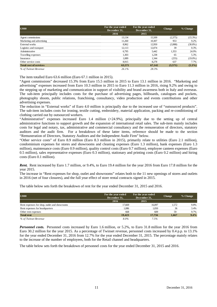| $\epsilon$ 000                | For the year ended<br>December 31. | For the year ended<br>December 31. | <b>Change</b> | % Change   |
|-------------------------------|------------------------------------|------------------------------------|---------------|------------|
|                               | 2016                               | 2015                               |               |            |
| Agent commissions             | 13,134                             | 15,509                             | (2,375)       | $(15.3\%)$ |
| Marketing and advertising     | 11.260                             | 10,307                             | 953           | 9.2%       |
| External works                | 8.962                              | 12.950                             | (3,988)       | $(30.8\%)$ |
| Logistics and transport       | 12,113                             | 12.074                             | 39            | 0.3%       |
| Administrative                | 6,795                              | 5,442                              | 1.353         | 24.9%      |
| Travelling expenses           | 1,303                              | 1,238                              | 65            | 5.3%       |
| Insurance                     | 1,089                              | 1,344                              | (255)         | $(19.0\%)$ |
| Other service costs           | 8.915                              | 8,278                              | 637           | 7.7%       |
| <b>Total cost of services</b> | 63,571                             | 67,142                             | (3,571)       | $(5.3\%)$  |
| % of Twinset Revenue          | 26.1%                              | 28.3%                              |               |            |

The item totalled Euro 63.6 million (Euro 67.1 million in 2015).

"Agent commissions" decreased 15.3% from Euro 15.5 million in 2015 to Euro 13.1 million in 2016. "Marketing and advertising" expenses increased from Euro 10.3 million in 2015 to Euro 11.3 million in 2016, rising 9.2% and owing to the stepping up of marketing and communication in support of visibility and brand awareness both in Italy and overseas. The sub-item principally includes costs for the purchase of advertising pages, billboards, catalogues and pockets, photography shoots, public relations, franchising, consultancy, video production and events contributions and other advertising expenses.

The reduction in "External works" of Euro 4.0 million is principally due to the increased use of "outsourced products". The sub-item includes costs for ironing, textile cutting, embroidery, material application, packing and re-conditioning of clothing carried out by outsourced workers.

"Administrative" expenses increased Euro 1.4 million (+24.9%), principally due to the setting up of central administrative functions to support growth and the expansion of international retail sales. The sub-item mainly includes costs for legal and notary, tax, administrative and commercial consultancy and the remuneration of directors, statutory auditors and the audit firm. For a breakdown of these latter items, reference should be made to the section "Remuneration of Directors, Statutory Auditors and the Independent Audit Firm" below.

"Other service costs" of Euro 8.9 million (Euro 8.3 million in 2015), primarily relate to utilities (Euro 2.1 million), condominium expenses for stores and showrooms and cleaning expenses (Euro 1.3 million), bank expenses (Euro 1.3 million), maintenance costs (Euro 0.9 million), quality control costs (Euro 0.7 million), employee canteen expenses (Euro 0.5 million), sales representative expenses (Euro 0.3 million), stationary and printing costs (Euro 0.2 million) and hiring costs (Euro 0.1 million).

*Rent.* Rent increased by Euro 1.7 million, or 9.4%, to Euro 19.4 million for the year 2016 from Euro 17.8 million for the year 2015.

The increase in "Rent expenses for shop, outlet and showrooms" relates both to the 11 new openings of stores and outlets in 2016 (net of four closures), and the full year effect of store rental contracts signed in 2015.

The table below sets forth the breakdown of rent for the year ended December 31, 2015 and 2016.

| $\epsilon$ 000                               | For the year ended<br>December 31, | For the year ended<br>December 31, | <b>Change</b> | % Change |
|----------------------------------------------|------------------------------------|------------------------------------|---------------|----------|
|                                              | 2016                               | 2015                               |               |          |
| Rent expenses for shop, outlet and showrooms | 17,669                             | 16,097                             | 1.572         | 9.8%     |
| Rent expenses for headquarters               | 1,086                              | 1.050                              | 36            | 3.4%     |
| Other rent expenses                          | 668                                | 609                                | 59            | 9.7%     |
| <b>Total rent</b>                            | 19,423                             | 17.756                             | 1,667         | 9.4%     |
| % of Twinset Revenue                         | 8.0%                               | 7.5%                               |               |          |

*Personnel costs.* Personnel costs increased by Euro 1.6 million, or 5.2%, to Euro 31.8 million for the year 2016 from Euro 30.2 million for the year 2015. As a percentage of Twinset revenue, personnel costs increased by 0.4 p.p. to 13.1% for the year ended December 31, 2016 from 12.7% for the year ended December 31, 2015. The percentage mainly relates to the increase of the number of employees, both for the Retail channel and headquarters.

The table below sets forth the breakdown of personnel costs for the year ended December 31, 2015 and 2016.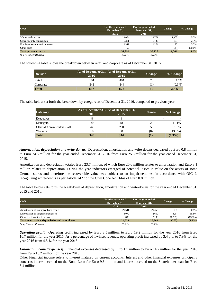| $\epsilon$ 000                 | For the year ended<br>December 31, | For the year ended<br>December 31, | <b>Change</b> | % Change |
|--------------------------------|------------------------------------|------------------------------------|---------------|----------|
|                                | 2016                               | 2015                               |               |          |
| Wages and salaries             | 24,074                             | 22,771                             | 1,303         | 5.7%     |
| Social security contribution   | 6,311                              | 6,182                              | 129           | 2.1%     |
| Employee severance indemnities | 1,347                              | 1,274                              | 73            | 5.7%     |
| Other costs                    | 59                                 |                                    | 59            | 100.0%   |
| <b>Total personnel costs</b>   | 31,791                             | 30,227                             | 1,564         | 5.2%     |
| % of Twinset Revenue           | 13.1%                              | 12.7%                              |               |          |

The following table shows the breakdown between retail and corporate as of December 31, 2016:

| <b>Division</b> | 2016 | As of December 31, As of December 31,<br>2015 | <b>Change</b> | $%$ Change |
|-----------------|------|-----------------------------------------------|---------------|------------|
| Retail          | 504  | 484                                           | 20            | 4.1%       |
| Corporate       | 343  | 344                                           | $\bf{I}$      | $(0.3\%)$  |
| <b>Total</b>    | 847  | 828                                           |               | $2.3\%$    |

The table below set forth the breakdown by category as of December 31, 2016, compared to previous year:

| Category                      | 2016 | As of December 31, As of December 31,<br>2015 | <b>Change</b> | $%$ Change |
|-------------------------------|------|-----------------------------------------------|---------------|------------|
| Executives                    |      |                                               |               | -          |
| Managers                      | 20   | 18                                            |               | 11.1%      |
| Clerical/Administrative staff | 265  | 260                                           |               | 1.9%       |
| Workers                       | 50   | 58                                            | (8)           | $(13.8\%)$ |
| <b>Total</b>                  | 343  | 344                                           |               | $(0.3\%)$  |

*Amortization, depreciation and write-downs.* Depreciation, amortization and write-downs decreased by Euro 0.8 million to Euro 24.5 million for the year ended December 31, 2016 from Euro 25.3 million for the year ended December 31, 2015.

Amortization and depreciation totaled Euro 23.7 million, of which Euro 20.6 million relates to amortization and Euro 3.1 million relates to depreciation. During the year indicators emerged of potential losses in value on the assets of some German stores and therefore the recoverable value was subject to an impairment test in accordance with OIC 9, recognizing write-downs as per Article 2427 of the Civil Code No. 3-bis of Euro 0.8 million.

The table below sets forth the breakdown of depreciation, amortization and write-downs for the year ended December 31, 2015 and 2016.

| $\epsilon$ 000                                   | For the year ended<br>December 31, | For the year ended<br>December 31, | <b>Change</b> | % Change   |
|--------------------------------------------------|------------------------------------|------------------------------------|---------------|------------|
|                                                  | 2016                               | 2015                               |               |            |
| Amortization of intangible fixed assets          | 20.641                             | 20.453                             | 188           | 0.9%       |
| Depreciation of tangible fixed assets            | 3,079                              | 2,659                              | 420           | 15.8%      |
| Other fixed asset write-downs                    | 803                                | 2.188                              | (1.385)       | $(63.3\%)$ |
| Total amortization, depreciation and write-downs | 24,523                             | 25,300                             | (777)         | $(3.2\%)$  |
| % of Twinset Revenue                             | 10.1%                              | 10.7%                              |               |            |

*Operating profit.* Operating profit increased by Euro 8.5 million, to Euro 19.2 million for the year 2016 from Euro 10.7 million for the year 2015. As a percentage of Twinset revenue, operating profit increased by 3.4 p.p. to 7.9% for the year 2016 from 4.5 % for the year 2015.

*Financial income/(expenses).* Financial expenses decreased by Euro 1.5 million to Euro 14.7 million for the year 2016 from Euro 16.2 million for the year 2015.

Other Financial income refers to interest matured on current accounts. Interest and other financial expenses principally concerns interest accrued on the Bond Loan for Euro 9.6 million and interest accrued on the Shareholder loan for Euro 5.4 million.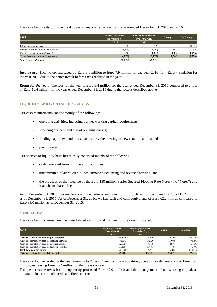The table below sets forth the breakdown of financial expenses for the year ended December 31, 2015 and 2016.

| $\epsilon$ 000                        | For the year ended<br>December 31, | For the year ended<br>December 31, | <b>Change</b> | % Change    |
|---------------------------------------|------------------------------------|------------------------------------|---------------|-------------|
|                                       | 2016                               | 2015                               |               |             |
| Other financial income                | 32                                 | 27                                 |               | 18.5%       |
| Interest and other financial expenses | (15,501)                           | (15, 134)                          | (367)         | 2.4%        |
| Foreign exchange gains/(losses)       | 799                                | (1,063)                            | 1,862         | $> (100\%)$ |
| Total financial income/(expenses)     | (14,670)                           | (16,170)                           | 1,500         | $(9.3\%)$   |
| % of Twinset Revenue                  | $(6.0\%)$                          | $(6.8\%)$                          |               |             |

*Income tax.* Income tax increased by Euro 3.0 million to Euro 7.9 million for the year 2016 from Euro 4.9 million for the year 2015 due to the better Result before taxes realized in the year.

*Result for the year.* The loss for the year is Euro 3.4 million for the year ended December 31, 2016 compared to a loss of Euro 10.4 million for the year ended December 31, 2015 due to the factors described above.

# **LIQUIDITY AND CAPITAL RESOURCES**

Our cash requirements consist mainly of the following:

- operating activities, including our net working capital requirements;
- servicing our debt and that of our subsidiaries;
- funding capital expenditures, particularly the opening of new retail locations; and
- paying taxes.

Our sources of liquidity have historically consisted mainly of the following:

- cash generated from our operating activities;
- uncommitted bilateral credit lines, invoice discounting and reverse factoring; and
- the proceeds of the issuance of the Euro 150 million Senior Secured Floating Rate Notes (the "Notes") and loans from shareholders.

As of December 31, 2016, our net financial indebtedness amounted to Euro 89.6 million compared to Euro 115.2 million as of December 31, 2015. As of December 31, 2016, we had cash and cash equivalents of Euro 62.2 million compared to Euro 39.0 million as of December 31, 2015.

# **CASH FLOW**

The table below summarizes the consolidated cash flow of Twinset for the years indicated.

| $\epsilon$ 000                                       | For the year ended<br>December 31, | For the year ended<br>December 31, | <b>Change</b> | % Change |
|------------------------------------------------------|------------------------------------|------------------------------------|---------------|----------|
|                                                      | 2016                               | 2015                               |               |          |
| Total net cash at the beginning of the period        | 39,039                             | 31,308                             | 7.731         | 24.7%    |
| Cash flow provided by/(used in) operating activities | 46,579                             | 26,130                             | 20.449        | 78.3%    |
| Cash flow provided by/(used in) investing activities | (12, 338)                          | (7,368)                            | (4,970)       | 67.5%    |
| Cash flow provided by/(used in) financing activities | (11, 110)                          | (11,031)                           | (79)          | 0.7%     |
| Cash flow from the period                            | 23,131                             | 7.731                              | 15,400        | $>100\%$ |
| Total net cash at the end of the period              | 62,170                             | 39,039                             | 23.131        | 59.3%    |

The cash flow generated in the year amounts to Euro 23.1 million thanks to strong operating cash generation of Euro 46.6 million, increasing Euro 20.4 million on the previous year.

This performance owes both to operating profits of Euro 42.0 million and the management of net working capital, as illustrated in the consolidated cash flow statement.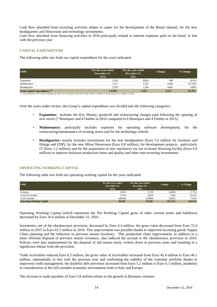Cash flow absorbed from investing activities relates to capex for the development of the Retail channel, for the new headquarters and Showroom and technology investments.

Cash flow absorbed from financing activities in 2016 principally related to interest expenses paid on the bond, in line with the previous year.

# **CAPITAL EXPENDITURE**

The following table sets forth our capital expenditure for the years indicated:

| $\epsilon$ 000                            | For the year ended<br>December 31,<br>2016 | For the year ended<br>December 31,<br>2015 | <b>Change</b> | % Change   |
|-------------------------------------------|--------------------------------------------|--------------------------------------------|---------------|------------|
| Expansion                                 | 5,128                                      | 4,638                                      | 490           | 10.6%      |
| Maintenance                               | 1,111                                      | 1,535                                      | (424)         | $(27.6\%)$ |
| Headquarter                               | 5.705                                      | 1.244                                      | 4.461         | $>100\%$   |
| Total capital expenditures <sup>(1)</sup> | 11.944                                     | 7,417                                      | 4,527         | 61.0%      |

1- The amounts are net of the exchange rate effect on investments made by TS East (Euro 0.3 million in 2016 and Euro 0.1 million in 2015)

Over the years under review, the Group's capital expenditure was divided into the following categories:

- **Expansion:** includes the Key Money, goodwill and restructuring charges paid following the opening of new stores (7 Boutiques and 4 Outlets in 2016 compared to 6 Boutiques and 4 Outlets in 2015).
- **Maintenance:** principally includes expenses for operating software development, for the restructuring/maintenance of existing stores and for the technology refresh.
- **Headquarter:** mainly includes investments for the new headquarters (Euro 3.2 million for furniture and fittings and EDP), for the new Milan Showroom (Euro 0.8 million), for development projects - particularly IT (Euro 1.2 million) and for the acquisition of new machinery for our in-house Weaving facility (Euro 0.4 million) to improve knitwear production times and quality and other non-recurring investments.

# **OPERATING WORKING CAPITAL**

The following table sets forth our operating working capital for the years indicated:

| $\epsilon$ 000                   | For the year ended<br>December 31,<br>2016 | For the year ended<br>December 31,<br>2015 | <b>Change</b> | % Change   |
|----------------------------------|--------------------------------------------|--------------------------------------------|---------------|------------|
| Inventory                        | 53,061                                     | 57,470                                     | (4,409)       | $(7.7\%)$  |
| Trade Receivables                | 35,704                                     | 36,034                                     | (330)         | $(0.9%$ )  |
| Trade Payables                   | (48,699)                                   | (42,866)                                   | (5,833)       | 13.6%      |
| <b>Operating Working Capital</b> | 40,066                                     | 50.638                                     | (10,572)      | $(20.9\%)$ |

Operating Working Capital (which represents the Net Working Capital gross of other current assets and liabilities) decreased by Euro 10.6 million at December 31, 2016.

Inventories, net of the obsolescence provision, decreased by Euro 4.4 million; the gross value decreased from Euro 72.4 million in 2015 to Euro 62.5 million in 2016. This improvement was possible thanks to improved incoming goods Supply Chain planning and the reduction in previous season inventory. This production chain improvement, in addition to a more efficient disposal of previous season inventory, also reduced the accrual to the obsolescence provision in 2016. Policies were also implemented for the disposal of old season stock, written down in previous years and resulting in a significant release from the provision.

Trade receivables reduced Euro 0.3 million; the gross value of receivables increased from Euro 45.4 million to Euro 46.1 million, substantially in line with the previous year and confirming the stability of the customer portfolio thanks to improved credit management; the doubtful debt provision increased from Euro 5.2 million to Euro 6.1 million, prudently in consideration of the still unstable economic environment both in Italy and Europe.

The increase in trade payables of Euro 5.8 million relates to the growth in Business volumes.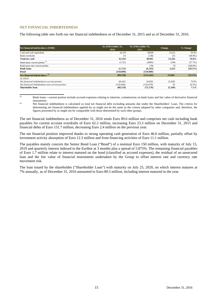# **NET FINANCIAL INDEBTEDNESS**

The following table sets forth our net financial indebtedness as of December 31, 2015 and as of December 31, 2016.

| Net financial indebtedness $(\epsilon 000)$    | As of December 31,<br>2016 | As of December 31,<br>2015 | Change  | % Change    |
|------------------------------------------------|----------------------------|----------------------------|---------|-------------|
| Cash and cash equivalents                      | 62,170                     | 39,039                     | 23.131  | 59.3%       |
| <b>Bank</b> overdrafts                         | (7)                        | (138)                      | 131     | $(94.9\%)$  |
| Total net cash                                 | 62.163                     | 38.901                     | 23,262  | 59.8%       |
| Bank loans-current portion <sup>(1)</sup>      | (1,721)                    | (4,065)                    | 2.344   | (57.7%      |
| Bank loans-non current portion                 | ۰                          | (78)                       | 78      | $(100.0\%)$ |
| <b>Bank loans</b>                              | (1,721)                    | (4,143)                    | 2.422   | $(58.5\%)$  |
| Bond                                           | (150,000)                  | (150,000)                  |         |             |
| Net financial indebtedness $(2)$               | (89, 558)                  | (115,242)                  | 25,684  | (22.3%)     |
| of which:                                      |                            |                            |         |             |
| Net financial indebtedness-current portion     | 60,442                     | 34.836                     | 25,606  | 73.5%       |
| Net financial indebtedness-non-current portion | (150,000)                  | (150.078)                  | 78      | $(0.1\%)$   |
| Shareholder loan                               | (80, 519)                  | (75, 170)                  | (5,349) | 7.1%        |

(1) Bank loans—current portion include accrued expenses relating to interests, commissions on bank loans and fair value of derivative financial

instruments. (2) Net financial indebtedness is calculated as total net financial debt excluding amounts due under the Shareholders' Loan. The criteria for determining net financial indebtedness applied by us might not be the same as the criteria adopted by other companies and, therefore, the figures presented by us might not be comparable with those determined by such other groups.

The net financial indebtedness as of December 31, 2016 totals Euro 89.6 million and comprises net cash including bank payables for current account overdrafts of Euro 62.2 million, increasing Euro 23.3 million on December 31, 2015 and financial debts of Euro 151.7 million, decreasing Euro 2.4 million on the previous year.

The net financial position improved thanks to strong operating cash generation of Euro 46.6 million, partially offset by investment activity absorption of Euro 12.3 million and from financing activities of Euro 11.1 million.

The payables mainly concern the Senior Bond Loan ("Bond") of a nominal Euro 150 million, with maturity of July 15, 2019 and quarterly interest indexed to the Euribor at 3 months plus a spread of 5.875%. The remaining financial payables of Euro 1.7 million relate to interest matured on the bond (classified as accrued expenses), the residual of an unsecured loan and the fair value of financial instruments undertaken by the Group to offset interest rate and currency rate movement risk.

The loan issued by the shareholder ("Shareholder Loan") with maturity on July 25, 2020, on which interest matures at 7% annually, as of December 31, 2016 amounted to Euro 80.5 million, including interest matured in the year.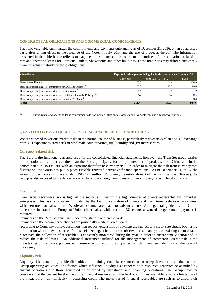# **CONTRACTUAL OBLIGATIONS AND COMMERCIAL COMMITMENTS**

The following table summarizes the commitments and payments outstanding as of December 31, 2016, on an as-adjusted basis after giving effect to the issuance of the Notes in July 2014 and the use of proceeds thereof. The information presented in the table below reflects management's estimates of the contractual maturities of our obligations related to rent and operating leases for Boutique/Outlets, Showrooms and other buildings. These maturities may differ significantly from the actual maturity of these obligations.

| $\epsilon$ in millions                                                                  | Expected cash payments falling due in the years ending December 31, |                      |       |  |
|-----------------------------------------------------------------------------------------|---------------------------------------------------------------------|----------------------|-------|--|
|                                                                                         | 2017-2020                                                           | 2021 and the reafter | Total |  |
| Notes offered hereby                                                                    | 150.0                                                               |                      | 150.0 |  |
| Rent and operating leases commitments for DOS and Outlets <sup>(1)</sup>                | 55.0                                                                | 33.6                 | 88.6  |  |
| Rent and operating leases commitments for Showroom <sup>(1)</sup>                       | 1.5                                                                 | 0.4                  | 1.9   |  |
| Rent and operating leases commitments for Civil and Industrial Buildings <sup>(1)</sup> | 4.6                                                                 | 4.5                  | 9.1   |  |
| Rent and operating leases commitments related to TS Shoes <sup>(1)</sup>                | 0.3                                                                 |                      | 0.3   |  |
| <b>Total</b>                                                                            | 211.4                                                               | 38.5                 | 249.9 |  |

(1) Future rental and operating lease commitments do not include inflation rate adjustments, variable rent and any renewal options.

#### **QUANTITATIVE AND QUALITATIVE DISCLOSURE ABOUT MARKET RISK**

We are exposed to various market risks in the normal course of business, particularly market risks related to: (i) exchange rates, (ii) exposure to credit risk of wholesale counterparties, (iii) liquidity and (iv) interest rates.

#### **Currency-related risk**

The Euro is the functional currency used for the consolidated financial statements; however, the Twin Set group carries out operations in currencies other than the Euro, principally for the procurement of products from China and India, denominated in US Dollars, with an exposure therefore to currency risk. In order to mitigate the risk from currency rate fluctuation, the Group has put in place Flexible Forward derivative finance operations. As of December 31, 2016, the amount of derivatives in place totaled USD 42.5 million. Following the establishment of the Twin Set East (Russia), the Group is also exposed to the depreciation of the Ruble arising from loans and intercompany sales in local currency.

#### **Credit risk**

Commercial receivable risk is high in the sector, still featuring a high number of clients represented by individual enterprises. This risk is however mitigated by the low concentration of clients and the internal selection procedures, which ensure that sales on the Wholesale channel are made to solvent clients. As a general guideline, the Group undertakes insurance on European Union client sales, while for non-EU clients advanced or guaranteed payment is required.

Payments on the Retail channel are made through cash and credit cards.

Payments on the e-commerce channel are principally made by credit card.

According to Company policy, customers that request extensions of payment are subject to a credit rate check, both using information which may be sourced from specialized agencies and from observation and analysis on existing client data.

Moreover, the collection of receivables is constantly monitored during the year in order to ensure timely action and to reduce the risk of losses. An additional instrument utilized for the management of commercial credit risk is the undertaking of insurance policies with insurance or factoring companies, which guarantee indemnity in the case of insolvency.

#### **Liquidity risk**

Liquidity risk relates to possible difficulties in obtaining financial resources at an acceptable cost to conduct normal Group operating activities. The factors which influence liquidity risk concern both resources generated or absorbed by current operations and those generated or absorbed by investment and financing operations. The Group however considers that the current level of debt, the financial resources and the bank credit lines available, enable a limitation of the impacts from any difficulty in accessing credit. The maturities of financial receivables are such as to allow their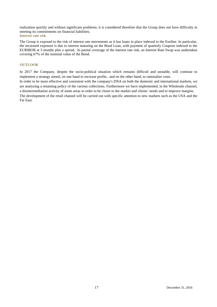realization quickly and without significant problems; it is considered therefore that the Group does not have difficulty in meeting its commitments on financial liabilities. **Interest rate risk** 

The Group is exposed to the risk of interest rate movements as it has loans in place indexed to the Euribor. In particular, the increased exposure is due to interest maturing on the Bond Loan, with payment of quarterly Coupons indexed to the EURIBOR at 3 months plus a spread. In partial coverage of the interest rate risk, an Interest Rate Swap was undertaken covering 67% of the nominal value of the Bond.

# **OUTLOOK**

In 2017 the Company, despite the socio-political situation which remains difficult and unstable, will continue to implement a strategy aimed, on one hand to increase profits , and on the other hand, to rationalize costs.

In order to be more effective and consistent with the company's DNA on both the domestic and international markets, we are analyzing a renaming policy of the various collections. Furthermore we have implemented, in the Wholesale channel, a disintermediation activity of some areas in order to be closer to the market and clients' needs and to improve margins.

The development of the retail channel will be carried out with specific attention to new markets such as the USA and the Far East.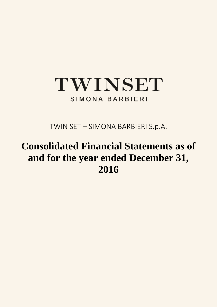# TWINSET SIMONA BARBIERI

TWIN SET – SIMONA BARBIERI S.p.A.

# **Consolidated Financial Statements as of and for the year ended December 31, 2016**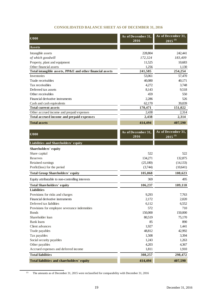# **CONSOLIDATED BALANCE SHEET AS OF DECEMBER 31, 2016**

| $\bigoplus$ 000                                          | As of December 31,<br>2016 | As of December 31,<br>$2015$ <sup>(1)</sup> |
|----------------------------------------------------------|----------------------------|---------------------------------------------|
| Assets                                                   |                            |                                             |
| Intangible assets                                        | 228,804                    | 242,441                                     |
| of which goodwill                                        | 172,324                    | 183,409                                     |
| Property, plant and equipment                            | 11,525                     | 10,683                                      |
| Other financial assets                                   | 1,256                      | 1,130                                       |
| Total intangible assets, PP&E and other financial assets | 241,585                    | 254,254                                     |
| Inventories                                              | 53,061                     | 57,470                                      |
| Trade receivables                                        | 40,080                     | 40,171                                      |
| Tax receivables                                          | 4,272                      | 3,748                                       |
| Deferred tax assets                                      | 8,143                      | 9,518                                       |
| Other receivables                                        | 459                        | 550                                         |
| Financial derivative instruments                         | 2,286                      | 526                                         |
| Cash and cash equivalents                                | 62,170                     | 39,039                                      |
| <b>Total current assets</b>                              | 170,471                    | 151,022                                     |
| Other accrued income and prepaid expenses                | 2,438                      | 2,314                                       |
| Total accrued income and prepaid expenses                | 2,438                      | 2,314                                       |
| <b>Total assets</b>                                      | 414,494                    | 407,590                                     |
| $\bigoplus$ 000                                          | As of December 31,<br>2016 | As of December 31,<br>$2015^{(1)}$          |
| Liabilities and Shareholders' equity                     |                            |                                             |
| Shareholders' equity                                     |                            |                                             |
| Share capital                                            | 522                        | 522                                         |
| Reserves                                                 | 134,271                    | 132,875                                     |
| Retained earnings                                        | (25,180)                   | (14, 133)                                   |
| Profit/(loss) for the period                             | (3,744)                    | (10,641)                                    |
| <b>Total Group Shareholders' equity</b>                  | 105,868                    | 108,623                                     |
| Equity attributable to non-controlling interests         | 369                        | 495.                                        |
| <b>Total Shareholders' equity</b>                        | 106,237                    | 109,118                                     |
| <b>Liabilities</b>                                       |                            |                                             |
| Provisions for risks and charges                         | 9,293                      | 7,763                                       |
| Financial derivative instruments                         | 2,172                      | 2,020                                       |
| Deferred tax liabilities                                 | 6,112                      | 6,552                                       |
| Provisions for employee severance indemnities            | 572                        | 710                                         |
| <b>Bonds</b>                                             | 150,000                    | 150,000                                     |
| Shareholder loan                                         | 80,519                     | 75,170                                      |
| <b>Bank</b> loans                                        | 85                         | 890                                         |
| Client advances                                          | 1,927                      | 1,441                                       |
| Trade payables                                           | 48,812                     | 42,992                                      |
| Tax payables                                             | 1,508                      | 3,394                                       |
| Social security payables                                 | 1,243                      | 1,263                                       |
| Other payables                                           | 4,203                      | 4,367                                       |
| Accrued expenses and deferred income                     | 1,811                      | 1,910                                       |
| <b>Total liabilities</b>                                 | 308,257                    | 298,472                                     |
| Total liabilities and shareholders' equity               | 414,494                    | 407,590                                     |

<sup>(1)</sup> The amounts as of December 31, 2015 were reclassified for comparability with December 31, 2016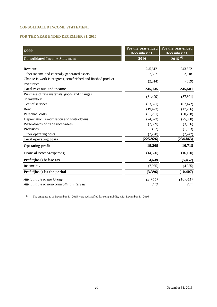# **CONSOLIDATED INCOME STATEMENT**

# **FOR THE YEAR ENDED DECEMBER 31, 2016**

| $\bigoplus$ 000                                               | For the year ended<br>December 31, | For the year ended<br>December 31, |
|---------------------------------------------------------------|------------------------------------|------------------------------------|
| <b>Consolidated Income Statement</b>                          | 2016                               | $2015^{(1)}$                       |
|                                                               |                                    |                                    |
| Revenue                                                       | 245,612                            | 243,522                            |
| Other income and internally generated assets                  | 2,337                              | 2,618                              |
| Change in work in progress, semifinished and finished product | (2,814)                            | (559)                              |
| inventories                                                   |                                    |                                    |
| <b>Total revenue and income</b>                               | 245,135                            | 245,581                            |
| Purchase of raw materials, goods and changes                  | (81,499)                           | (87, 301)                          |
| in inventory                                                  |                                    |                                    |
| Cost of services                                              | (63,571)                           | (67, 142)                          |
| Rent                                                          | (19, 423)                          | (17,756)                           |
| Personnel costs                                               | (31,791)                           | (30,228)                           |
| Depreciation, Amortization and write-downs                    | (24,523)                           | (25,300)                           |
| Write-downs of trade receivables                              | (2,839)                            | (3,036)                            |
| Provisions                                                    | (52)                               | (1,353)                            |
| Other operating costs                                         | (2,228)                            | (2,747)                            |
| <b>Total operating costs</b>                                  | (225, 926)                         | (234, 863)                         |
| <b>Operating profit</b>                                       | 19,209                             | 10,718                             |
| Financial income/(expenses)                                   | (14,670)                           | (16, 170)                          |
| Profit/(loss) before tax                                      | 4,539                              | (5, 452)                           |
| Income tax                                                    | (7,935)                            | (4,955)                            |
| Profit/(loss) for the period                                  | (3,396)                            | (10, 407)                          |
| Attributable to the Group                                     | (3,744)                            | (10, 641)                          |
| Attributable to non-controlling interests                     | 348                                | 234                                |

(1) The amounts as of December 31, 2015 were reclassified for comparability with December 31, 2016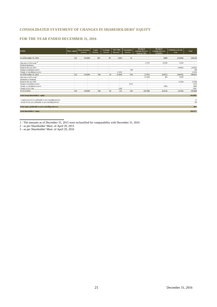# **CONSOLIDATED STATEMENT OF CHANGES IN SHAREHOLDERS' EQUITY**

# **FOR THE YEAR ENDED DECEMBER 31, 2016**

| $(\boldsymbol{\in}000)$                                          | Share capital            | Share premium<br>reserve | Legal<br>reserve | <b>Exchange</b><br>reserve | <b>Fair Value</b><br>Reserve | <b>Translation</b><br>reserve | <b>Retained</b><br>earnings/(losses)<br><b>Twin Set SPA</b> | <b>Retained</b><br>earnings/(losses)<br><b>OTHERS</b> | Profit/(loss) for the<br>year | <b>Total</b> |
|------------------------------------------------------------------|--------------------------|--------------------------|------------------|----------------------------|------------------------------|-------------------------------|-------------------------------------------------------------|-------------------------------------------------------|-------------------------------|--------------|
| As of December 31, 2014                                          | 522                      | 133,840                  | 104              | 95                         | (242)                        | 31                            | ٠                                                           | (498)                                                 | (13, 636)                     | 120,218      |
|                                                                  |                          |                          |                  |                            |                              |                               |                                                             |                                                       |                               |              |
| Allocation of 2014 result <sup>(1)</sup>                         | $\overline{\phantom{a}}$ | $\overline{\phantom{a}}$ | $\sim$           | $\overline{\phantom{a}}$   |                              | $\overline{\phantom{a}}$      | (7.197)                                                     | (6,439)                                               | 13.636                        | $\sim$       |
| Dividend distribution                                            | $\sim$                   | $\overline{\phantom{a}}$ | $\sim$           | $\overline{\phantom{a}}$   |                              | $\overline{\phantom{a}}$      | $\sim$                                                      | $\sim$                                                | $\overline{\phantom{a}}$      | $\sim$       |
| Result for the year 2015                                         | $\overline{\phantom{a}}$ | $\overline{\phantom{a}}$ | $\sim$           | $\overline{\phantom{a}}$   |                              | $\overline{\phantom{a}}$      | ٠                                                           | $\overline{\phantom{a}}$                              | (10,641)                      | (10,641)     |
| Change to translation reserve                                    | $\overline{\phantom{a}}$ | $\overline{\phantom{a}}$ | $\sim$           | $\overline{\phantom{a}}$   |                              | 298                           | $\sim$                                                      | $\sim$                                                | ٠                             | 298          |
| Change to consolidation reserve                                  | $\overline{\phantom{a}}$ |                          | $\sim$           |                            | (1,252)                      |                               |                                                             | $\overline{a}$                                        | $\overline{a}$                | (1,252)      |
| As of December 31, 2015                                          | 522                      | 133,840                  | 104              | 95                         | (1, 494)                     | 329                           | (7, 197)                                                    | (6,937)                                               | (10, 641)                     | 108,623      |
| Allocation of 2015 result <sup>3</sup>                           | $\overline{\phantom{a}}$ | ٠                        | $\sim$           | $\overline{\phantom{a}}$   | $\overline{\phantom{a}}$     | $\overline{\phantom{a}}$      | (11,509)                                                    | 869                                                   | 10,640                        | $\sim$       |
| Distribution of dividends                                        | $\sim$                   | $\sim$                   | $\sim$           | $\overline{\phantom{a}}$   | $\sim$                       | $\overline{\phantom{a}}$      | $\sim$                                                      | $\sim$                                                | $\overline{\phantom{a}}$      | $\sim$       |
| Result for the year 2016                                         | $\overline{\phantom{a}}$ | $\overline{\phantom{a}}$ | $\sim$           | $\overline{\phantom{a}}$   | $\sim$                       | $\sim$                        | $\overline{\phantom{a}}$                                    | $\sim$                                                | (3,744)                       | (3,744)      |
| Change to translation reserve                                    | $\overline{\phantom{a}}$ | $\overline{\phantom{a}}$ | $\sim$           | $\overline{\phantom{a}}$   | $\sim$                       | (213)                         | $\overline{\phantom{a}}$                                    | $\sim$                                                | ٠                             | (213)        |
| Change to consolidation reserve                                  | $\sim$                   | $\sim$                   | $\sim$           | $\sim$                     | $\sim$                       | $\sim$                        | $\blacksquare$                                              | (406)                                                 | $\overline{\phantom{a}}$      | (406)        |
| Change in Fair Value                                             | $\sim$                   | $\sim$                   | $\sim$           | $\sim$                     | 1,609                        | $\sim$                        | $\,$                                                        | $\sim$                                                | ٠                             | 1,609        |
| At 31/12/2016                                                    | 522                      | 133,840                  | 104              | 95                         | 115                          | 116                           | (18,706)                                                    | (6.474)                                               | (3,745)                       | 105,868      |
| <b>Total Group Shareholders' equity</b>                          |                          |                          |                  |                            |                              |                               |                                                             |                                                       |                               | 105,868      |
| - Capital and reserves attributable to non-controlling interests |                          |                          |                  |                            |                              |                               |                                                             |                                                       |                               | 21           |
| - Result for the year attributable to non-controlling interests  |                          |                          |                  |                            |                              |                               |                                                             |                                                       |                               | 348          |
| Total equity attributable to non-controlling interests           |                          |                          |                  |                            |                              |                               |                                                             |                                                       |                               | 369          |
| <b>Total Shareholders' equity</b>                                |                          |                          |                  |                            |                              |                               |                                                             |                                                       |                               | 106.237      |

1 - The amounts as of December 31, 2015 were reclassified for comparability with December 31, 2016

2 - as per Shareholder' Meet. of April 29, 2015

3 - as per Shareholder' Meet. of April 29, 2016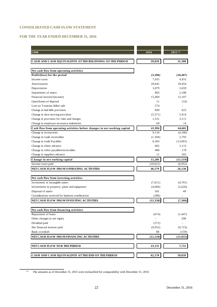# **CONSOLIDATED CASH FLOW STATEMENT**

# **FOR THE YEAR ENDED DECEMBER 31, 2016**

| €/000                                                                     | 2016      | $2015^{(1)}$ |
|---------------------------------------------------------------------------|-----------|--------------|
|                                                                           |           |              |
| CASH AND CASH EQUIVALENTS AT THE BEGINNING OF THE PERIOD                  | 39,039    | 31,308       |
|                                                                           |           |              |
| Net cash flow from operating activities                                   |           |              |
| Profit/(loss) for the period                                              | (3,396)   | (10, 407)    |
| Income taxes                                                              | 7,935     | 4,955        |
| Amortization                                                              | 20,641    | 20,454       |
| Depreciation                                                              | 3,079     | 2,659        |
| Impairment of assets                                                      | 803       | 2.188        |
| Financial interest/(income)                                               | 15.469    | 15.107       |
| Gains/losses of disposal                                                  | 11        | (16)         |
| Loss on Tessitura Sidoti sale                                             | 574       |              |
| Change in bad debt provision                                              | 849       | 622          |
| Change in slow moving provision                                           | (5,571)   | 5,914        |
| Change in provision for risks and charges                                 | 1,531     | 3,111        |
| Change in employee severance indemities                                   | 69        | 14           |
| Cash flow from operating activities before changes in net working capital | 41,994    | 44.601       |
| Change in inventories                                                     | 9,134     | (4,106)      |
| Change in trade receivables                                               | (1, 394)  | 2,793        |
| Change in trade Payables                                                  | 6,303     | (13,001)     |
| Change in client advance                                                  | 665       | 2,115        |
| Change in other payables/receivables                                      | 486       | 178          |
| Change in suppliers advance                                               | 11        | 502          |
| Change in net working capital                                             | 15,206    | (11, 519)    |
| Income taxes paid                                                         | (10,621)  | (6,952)      |
| NET CASH FLOW FROM OPERATING ACTIVITIES                                   | 46,579    | 26,130       |
|                                                                           |           |              |
| Net cash flow from investing activities                                   |           |              |
| Investment in intangible assets                                           | (7,611)   | (4,791)      |
| Investments in property, plant and equipment                              | (4,606)   | (2,626)      |
| Disposal of assets                                                        | 165       | 49           |
| Consideration received for business combination                           | (286)     |              |
| NET CASH FLOW FROM INVESTING ACTIVITIES                                   | (12, 338) | (7,368)      |
|                                                                           |           |              |
| Net cash flow from financing activities                                   |           |              |
| Repayment of loans                                                        | (674)     | (1, 447)     |
| Other changes in net equity                                               |           | 298          |
| Dividend paid                                                             | (572)     |              |
| Net financial interest paid                                               | (9,952)   | (9, 723)     |
| Bank overdraft                                                            | 88        | (159)        |
|                                                                           |           |              |
| NET CASH FLOW FROM FINANCING ACTIVITIES                                   | (11, 110) | (11, 031)    |
| NET CASH FLOW FOR THE PERIOD                                              | 23,131    | 7,731        |
|                                                                           |           |              |
| CASH AND CASH EQUIVALENTS AT THE END OF THE PERIOD                        | 62,170    | 39,039       |

<sup>(1)</sup> The amounts as of December 31, 2015 were reclassified for comparability with December 31, 2016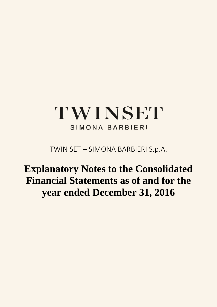# TWINSET SIMONA BARBIERI

TWIN SET – SIMONA BARBIERI S.p.A.

# **Explanatory Notes to the Consolidated Financial Statements as of and for the year ended December 31, 2016**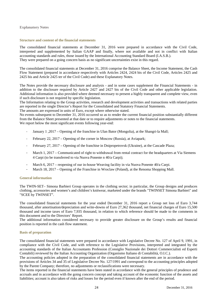#### **Explanatory Notes**

#### **Structure and content of the financial statements**

The consolidated financial statements at December 31, 2016 were prepared in accordance with the Civil Code, interpreted and supplemented by Italian GAAP and finally, where not available and not in conflict with Italian accounting standards and rules, those issued by the International Accounting Standard Board (I.A.S.B.). They were prepared on a going concern basis as no significant uncertainties exist in this regard.

The consolidated financial statements at December 31, 2016 comprise the Balance Sheet, the Income Statement, the Cash Flow Statement (prepared in accordance respectively with Articles 2424, 2424 bis of the Civil Code, Articles 2425 and 2425 bis and Article 2425 ter of the Civil Code) and these Explanatory Notes.

The Notes provide the necessary disclosure and analysis - and in some cases supplement the Financial Statements - in addition to the disclosure required by Article 2427 and 2427 bis of the Civil Code and other applicable legislation. Additional information is also provided where deemed necessary to present a highly transparent and complete view, even if such disclosure is not required by specific legislation.

The Information relating to the Group activities, research and development activities and transactions with related parties are reported in the single Director's Report for the Consolidated and Statutory Financial Statements.

The amounts are expressed in units of Euro, except where otherwise stated.

No events subsequent to December 31, 2016 occurred so as to render the current financial position substantially different from the Balance Sheet presented at that date or to require adjustments or notes to the financial statements. We report below the most significant events following year-end:

- ‐ January 1 ,2017 Opening of the franchise in Ulan Bator (Mongolia), at the Shangri-la Mall;
- ‐ February 22, 2017 Opening of the corner in Moscow (Russia), at Aviapark;
- ‐ February 27, 2017 Opening of the franchise in Dnipropetrovsk (Ukraine), at the Cascade Plaza;
- March 1, 2017 Communicated of right to withdrawal from rental contract for the headquarters at Via Siemens 4 Carpi (to be transferred to via Nuova Ponente n 40/a Carpi);
- March 6, 2017 reopening of our in-house Weaving facility in via Nuova Ponente 40/a Carpi.
- March 18, 2017 Opening of the Franchise in Wroclaw (Poland), at the Renoma Shopping Mall.

#### **General information**

The TWIN-SET– Simona Barbieri Group operates in the clothing sector; in particular, the Group designs and produces clothing, accessories and women's and children's knitwear, marketed under the brands "TWINSET Simona Barbieri" and "SCEE by TWINSET".

The consolidated financial statements for the year ended December 31, 2016 report a Group net loss of Euro 3,744 thousand, after amortisation/depreciation and write-downs of Euro 27,362 thousand, net financial charges of Euro 15,500 thousand and income taxes of Euro 7,935 thousand, in relation to which reference should be made to the comments in this document and to the Directors' Report.

The additional information considered necessary to provide greater disclosure on the Group's results and financial position is reported in the cash flow statement.

#### **Basis of preparation**

The consolidated financial statements were prepared in accordance with Legislative Decree No. 127 of April 9, 1991, in compliance with the Civil Code, and with reference to the Legislative Provisions, interpreted and integrated by the accounting standards of the Italian Accountants Profession (Consiglio Nazionale dei Dottori Commercialisti ed Esperti Contabili) reviewed by the Italian Accounting Organization (Organismo Italiano di Contabilità, O.I.C.).

The accounting policies adopted in the preparation of the consolidated financial statements are in accordance with the provisions of Articles 34 and 35 of Legislative Decree No. 127/1991 and correspond to the accounting principles adopted by the Parent Company; therefore, no adjustments or reclassifications were necessary.

The items reported in the financial statements have been stated in accordance with the general principles of prudence and accruals and in accordance with the going concern concept and taking account of the economic function of the assets and liabilities; account is also taken of risks and losses for the period even if known after the end of the period.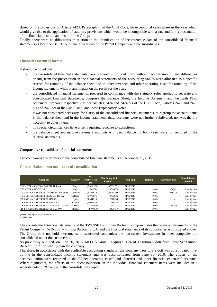Based on the provisions of Article 2423, Paragraph 4, of the Civil Code, no exceptional cases arose in the year which would give rise to the application of statutory provisions which would be incompatible with a true and fair representation of the financial position and result of the Group.

Finally, there were no difficulties in relation to the identification of the reference date of the consolidated financial statements - December 31, 2016, financial year end of the Parent Company and the subsidiaries.

#### **Financial Statement format**

It should be noted that:

- the consolidated financial statements were prepared in units of Euro, without decimal amount; any differences arising from the presentation in the financial statements of the accounting values were allocated to a specific reserve for rounding of the balance sheet and to other revenues and other operating costs for rounding of the income statement, without any impact on the result for the year;
- the consolidated financial statements, prepared in compliance with the statutory rules applied to separate and consolidated financial statements, comprise the Balance Sheet, the Income Statement and the Cash Flow Statement (prepared respectively as per Articles 2424 and 2424 bis of the Civil Code, Articles 2425 and 2425 bis and 2425 ter of the Civil Code) and these Explanatory Notes.
- it was not considered necessary, for clarity of the consolidated financial statements, to regroup the account items in the balance sheet and in the income statement; these accounts were not further subdivided, nor was there a necessity to adjust them;
- no special circumstances have arisen requiring recourse to exceptions;
- ‐ the balance sheet and income statement accounts with zero balance for both years were not reported in the relative statements.

#### **Comparative consolidated financial statements**

The comparative year refers to the consolidated financial statements at December 31, 2015.

#### **Consolidation area and basis of consolidation**

| <b>Company</b>                          | Country | <b>Net</b><br>Profit/(loss)<br>$(*)$ | Net Equity incl.<br>Result $(*)$ | Year-end   | Holding | Carrying value | Consolidation<br>method |
|-----------------------------------------|---------|--------------------------------------|----------------------------------|------------|---------|----------------|-------------------------|
| TWIN SET - SIMONA BARBIERI S.p.A.       | Italy   | (8,619,170)                          | 107,351,335                      | 31/12/2016 |         |                |                         |
| TESSITURA SIDOTI S.R.L.                 | Italy   | 1,943,784                            | 4,598,034                        | 31/12/2016 | 80%     | 1,476,941      | Line-by-line            |
| TS SIMONA BARBIERI DEUTSCHLAND GMI      | Germany | (5,826,614)                          | (2,629,199)                      | 31/12/2016 | 100%    | 1,859,979      | Line-by-line            |
| TS SIMONA BARBIERI BELGIUM BVBA         | Belgium | (2,076,976)                          | (956,036)                        | 31/12/2016 | 100%    | ۰              | Line-by-line            |
| <b>TS SIMONA BARBIERI SPAIN S.L.</b>    | Spain   | (1,544,215)                          | (783,200)                        | 31/12/2016 | 100%    | $\sim$         | Line-by-line            |
| TS SIMONA BARBIERI FRANCE S.A.          | France  | (2,067,935)                          | (592, 443)                       | 31/12/2016 | 100%    | ۰              | Line-by-line            |
| TS SIMONA BARBIERI DUTCH HOLDING B.     | Holland | 93.850                               | 581,375                          | 31/12/2016 | 100%    | 3,284,659      | Line-by-line            |
| <b>TS SIMONA BARBIERI EAST LLC (**)</b> | Russia  | 4,400,819                            | 13,627,346                       | 31/12/2016 | 100%    |                | Line-by-line            |

(\*) Statutory figures as per local GAAP

(\*\*) in Rubles

The consolidated financial statements of the TWINSET - Simona Barbieri Group includes the financial statements of the Parent Company TWINSET – Simona Barbieri S.p.A. and the financial statements of its subsidiaries as illustrated above. The Group does not hold investments in associated companies; the non-current investments in other companies are consolidated under the cost method.

As previously outlined, on June 30, 2016, MO.DA Gioielli acquired 90% of Tessitura Sidoti from Twin Set Simona Barbieri S.p.A., to wholly-own the company.

Therefore, in accordance with the applicable accounting standards, the company Tessitura Sidoti was consolidated lineby-line in the consolidated income statement and was deconsolidated from June 30, 2016. The effects of the deconsolidation were recorded to the "Other operating costs" and "Interest and other financial expenses" accounts. Where significant, the effects of the deconsolidation on the individual financial statement items were included in a separate column "Changes in the consolidation scope".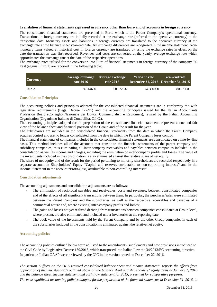#### **Translation of financial statements expressed in currency other than Euro and of accounts in foreign currency**

The consolidated financial statements are presented in Euro, which is the Parent Company's operational currency. Transactions in foreign currency are initially recorded at the exchange rate (referred to the operative currency) at the transaction date. Monetary assets and liabilities in foreign currency are translated to the operative currency at the exchange rate at the balance sheet year-end date. All exchange differences are recognised in the income statement. Nonmonetary items valued at historical cost in foreign currency are translated by using the exchange rates in effect on the date the transaction was first recorded. Revenues and costs are converted at the yearly average exchange rate which approximates the exchange rate at the date of the respective operations.

The exchange rates utilised for the conversion into Euro of financial statements in foreign currency of the company TS East (against Euro 1) are reported in the following table:

| <b>Currency</b> | Average exchange Average exchange<br>rate 2016 | rate 2015 | Year-end rate | <b>Year-end rate</b><br><b>December 31, 2016</b> December 31, 2015 |
|-----------------|------------------------------------------------|-----------|---------------|--------------------------------------------------------------------|
| Ruble           | 74.144600                                      | 68.072032 | 64.300000     | 80.673600                                                          |

# **Consolidation Principles**

The accounting policies and principles adopted for the consolidated financial statements are in conformity the with legislative requirements (Legs. Decree 127/91) and the accounting principles issued by the Italian Accountants Profession Board (Consiglio Nazionale dei Dottori Commercialisti e Ragionieri), revised by the Italian Accounting Organization (Organismo Italiano di Contabilità, O.I.C.).

The accounting principles adopted for the preparation of the consolidated financial statements represent a true and fair view of the balance sheet and financial position of the Group and of the result for the year.

The subsidiaries are included in the consolidated financial statements from the date in which the Parent Company acquires control and are no longer consolidated from the date in which the Parent Company loses control.

The financial statements of companies included in the consolidated financial statements are consolidated on a line-by-line basis. This method includes all of the accounts that constitute the financial statements of the parent company and subsidiary companies, thus eliminating all inter-company receivables and payables between companies included in the consolidation as well as income and charges, including the elimination of inter-company profits and losses. The value of the investments included in the consolidation is also eliminated against the relative share of net equity.

The share of net equity and of the result for the period pertaining to minority shareholders are recorded respectively in a separate account in Shareholders' Equity "Capital and reserves attributable to non-controlling interests" and in the Income Statement in the account "Profit/(loss) attributable to non-controlling interests".

# **Consolidation adjustments**

The accounting adjustments and consolidation adjustments are as follows:

- ‐ The elimination of reciprocal payables and receivables, costs and revenues, between consolidated companies and of the effects of all significant transactions between them. In particular, the purchases/sales were eliminated between the Parent Company and the subsidiaries, as well as the respective receivables and payables of a commercial nature and, where existing, inter-company profits and losses;
- ‐ The gains and losses not yet realized deriving from transactions between companies consolidated at Group level, where present, are also eliminated and included under inventories at the reporting date;
- The book value of the investments held by the Parent Company and by the other Group companies in each of the subsidiaries included in the consolidation is eliminated against the relative net equity.

# **Accounting policies**

The accounting policies outlined below were adjusted to the amendments, supplements and new provisions introduced to the Civil Code by Legislative Decree 139/2015, which transposed into Italian Law the 34/2013/EC accounting directive. In particular, Italian GAAP were reviewed by the OIC in the version issued on December 22, 2016.

*The section "Effects on the 2015 restated consolidated balance sheet and income statement" reports the effects from application of the new standards outlined above on the balance sheet and shareholders' equity items at January 1, 2016 and the balance sheet, income statement and cash flow statement for 2015, presented for comparative purposes.* 

*The most significant accounting policies adopted for the preparation of the financial statements at December 31, 2016, in*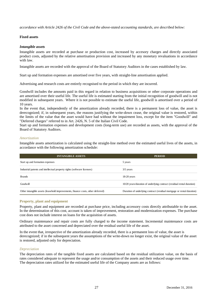*accordance with Article 2426 of the Civil Code and the above-stated accounting standards, are described below:* 

# **Fixed assets**

# *Intangible assets*

Intangible assets are recorded at purchase or production cost, increased by accesory charges and directly associated product costs, adjusted by the relative amortisation provision and increased by any monetary revaluations in accordance with law.

Intangible assets are recorded with the approval of the Board of Statutory Auditors in the cases established by law.

Start up and formation expenses are amortised over five years, with straight-line amortisation applied.

Advertising and research costs are entirely recognised to the period in which they are incurred.

Goodwill includes the amounts paid in this regard in relation to business acquisitions or other corporate operations and are amortised over their useful life. The useful life is estimated starting from the initial recognition of goodwill and is not modified in subsequent years. Where it is not possible to estimate the useful life, goodwill is amortised over a period of 10 years.

In the event that, independently of the amortization already recorded, there is a permanent loss of value, the asset is derecognized; if, in subsequent years, the reasons justifying the write-down cease, the original value is restored, within the limits of the value that the asset would have had without the impairment loss, except for the item "Goodwill" and "Deferred charges" referred to in Art. 2426, N. 5 of the Italian Civil Code.

Start up and formation expenses and development costs (long-term use) are recorded as assets, with the approval of the Board of Statutory Auditors.

# *Amortization*

Intangible assets amortization is calculated using the straight-line method over the estimated useful lives of the assets, in accordance with the following amortization schedule:

| <b>INTANGIBLE ASSETS</b>                                                        | <b>PERIOD</b>                                                          |
|---------------------------------------------------------------------------------|------------------------------------------------------------------------|
| Start up and formation expenses                                                 | 5 years                                                                |
| Industrial patents and intellectual property rights (software licenses)         | $3/5$ years                                                            |
| <b>Brands</b>                                                                   | $18-20$ years                                                          |
| Goodwill                                                                        | 10/20 years/duration of underlying contract (residual rental duration) |
| Other intangible assets (leasehold improvements, finance costs, other deferred) | Duration of underlying contract (residual mortgage or rental duration) |

# **Property, plant and equipment**

Property, plant and equipment are recorded at purchase price, including accessory costs directly attributable to the asset. In the determination of this cost, account is taken of improvement, restoration and modernization expenses. The purchase cost does not include interest on loans for the acquisition of assets.

Ordinary maintenance and repair costs are fully charged to the income statement. Incremental maintenance costs are attributed to the asset concerned and depreciated over the residual useful life of the asset.

In the event that, irrespective of the amortization already recorded, there is a permanent loss of value, the asset is derecognized; if in the subsequent years the assumptions of the write-down no longer exist, the original value of the asset is restored, adjusted only for depreciation.

# *Depreciation*

The depreciation rates of the tangible fixed assets are calculated based on the residual utilization value, on the basis of rates considered adequate to represent the usage and/or consumption of the assets and their reduced usage over time. The depreciation rates utilized for the estimated useful life of the Company assets are as follows: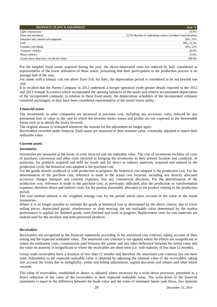| <b>PROPERTY, PLANT &amp; EQUIPMENT</b>    | Rate %                                                           |
|-------------------------------------------|------------------------------------------------------------------|
| Light constructions                       | 10.0%                                                            |
| Plant and machinery                       | 12.5%/duration of underlying contract (residual rental duration) |
| Industrial and commercial equipment       | 20%, 25%                                                         |
| <b>EDP</b>                                | 20%, 33.3%                                                       |
| Furniture and fittings                    | 10%, 12%                                                         |
| Transport vehicles                        | 20.0%                                                            |
| Motor vehicles                            | 25.0%                                                            |
| Assets lower than Euro 516.46 (for Italy) | 100.0%                                                           |

For the tangible fixed assets acquired during the year, the above-mentioned rates are reduced by half, considered as representative of the lower utilization of these assets, presuming that their participation in the production process is on average half of the year.

For assets with a unitary cost not above Euro 516, for Italy, the depreciation period is considered to be not beyond one year.

It is recalled that the Parent Company in 2012 undertook a merger operation (with greater details reported in the 2012 and 2013 Annual Accounts) which incorporated the opening balances of the assets and relative accumulated depreciation of the incorporated company; in relation to these fixed assets, the depreciation schedules of the incorporated company remained unchanged, as they have been considered representative of the assets'future utility.

# *Financial assets*

The investments in other companies are measured at purchase cost, including any accessory costs, reduced by any permanent loss in value in the case in which the investee incurs losses and profits are not expected in the foreseeable future such as to absorb the losses incurred.

The original amount is reinstated whenever the reasons for the adjustment no longer apply.

Receivables recorded under financial fixed assets are measured at their nominal value, eventually adjusted to match their realizable value.

# **Current assets**

#### *Inventories*

Inventories are measured at the lower of costs incurred and net realizable value. The cost of inventories includes all costs of purchase, conversion and other costs incurred in bringing the inventories to their present location and condition. In particular, for products acquired and held for resale and for direct or indirect materials, acquired and utilized in the production cycle, the historical cost adopted is the purchase cost.

For the goods already produced or with production in progress, the historical cost adopted is the production cost. For the determination of the purchase cost, reference is made to the actual cost incurred, including any directly allocated accessory charges transport and customs expenses, less any commercial discounts. For the determination of the production cost, reference is made to the purchase cost, as previously indicated, plus the production or transformation expenses, therefore direct and indirect costs, for the portion reasonably allocated to the product relating to the production period.

The cost method utilized is the weighted average cost for the period which takes account of the value of the initial inventories.

Where it is no longer possible to estimate the goods at historical cost as determined by the above criteria, due to lower selling prices, depreciated goods, obsolescence or slow moving, the net realizable value determined by the market performance is applied for finished goods, semi-finished and work in progress. Replacement costs for raw materials are instead used for the ancillary and semi-processed products.

# *Receivables*

Receivables are recognised to the financial statements according to the amortised cost criterion, taking account of their timing and the expected realisable value. The amortised cost criterion is not applied where the effects are insignificant or where the settlement costs, commissions paid between the parties and any other difference between the initial value and the value on maturity is insignificant or where the receivables are short-term (i.e. with maturity of less than 12 months).

Group trade receivables have a duration of less than 12 months and therefore the amortised cost criterion has not been used. Adjustment to the expected realizable value is obtained by adjusting the nominal value of the receivables, taking into account the losses due to ineligibility, yields and billing adjustments, unpaid discounts and rebates and other minor rewards.

The value of receivables, established as above, is adjusted where necessary by a write-down provision, presented as a direct reduction of the value of the receivables to their expected realisable value. The write-down to the financial statements is equal to the difference between the book value and the value of estimated future cash flows, less amounts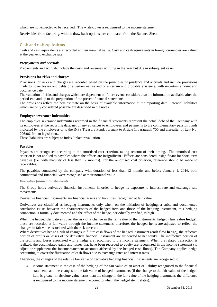which are not expected to be received. The write-down is recognised to the income statement.

Receivables from factoring, with no draw back options, are eliminated from the Balance Sheet.

# **Cash and cash equivalents**

Cash and cash equivalents are recorded at their nominal value. Cash and cash equivalents in foreign currencies are valued at the year-end exchange rate.

# *Prepayments and accruals*

Prepayments and accruals include the costs and revenues accruing in the year but due in subsequent years.

# **Provisions for risks and charges**

Provisions for risks and charges are recorded based on the principles of prudence and accruals and include provisions made to cover losses and debts of a certain nature and of a certain and probable existence, with uncertain amount and occurrence date.

The valuation of risks and charges which are dependent on future events considers also the information available after the period-end and up to the preparation of the present financial statements.

The provisions reflect the best estimate on the basis of available information at the reporting date. Potential liabilities which are only considered possible are described in the notes.

# **Employee severance indemnities**

The employee severance indemnities recorded in the financial statements represent the actual debt of the Company with its employees at the reporting date, net of any advances to employees and payments to the complementary pension funds indicated by the employees or to the INPS Treasury Fund, pursuant to Article 1, paragraph 755 and thereafter of Law No. 296/06, Italian legislation..

These liabilities are subject to index-linked revaluation.

# **Payables**

Payables are recognised according to the amortised cost criterion, taking account of their timing. The amortised cost criterion is not applied to payables where the effects are insignificant. Effects are considered insignificant for short-term payables (i.e. with maturity of less than 12 months). For the amortised cost criterion, reference should be made to receivables.

The payables contracted by the company with duration of less than 12 months and before January 1, 2016, both commercial and financial, were recognised at their nominal value.

# *Derivative financial instruments*

The Group holds derivative financial instruments in order to hedge its exposure to interest rate and exchange rate movements.

Derivative financial instruments are financial assets and liabilities, recognised at fair value.

Derivatives are classified as hedging instruments only when, on the initiation of hedging, a strict and documented correlation exists between the characteristics of the hedged item and those of the hedging instrument, this hedging connection is formally documented and the effect of the hedge, periodically verified, is high.

When the hedged derivatives cover the risk of a change in the fair value of the instruments hedged (**fair value hedge**), these are recorded at fair value through the income statement; therefore, the hedged items are adjusted to reflect the changes in fair value associated with the risk covered.

Where derivatives hedge a risk of changes in future cash flows of the hedged instrument (**cash flow hedge**), the effective portion of profits or losses of the derivative financial instrument are suspended to net equity. The ineffective portion of the profits and losses associated with a hedge are recognised to the income statement. When the related transaction is realized, the accumulated gains and losses that have been recorded to equity are recognized in the income statement (to adjust or supplement the income statement accounts affected by the hedged cash flows). The Company applies hedge accounting to cover the fluctuation of cash flows due to exchange rates and interest rates.

Therefore, the changes of the relative fair value of derivative hedging financial instruments are recognised to:

 income statement in the case of the hedging of the fair value of an asset or liability recognised to the financial statements and the changes to the fair value of hedged instruments (if the change to the fair value of the hedged item is greater in absolute value terms than the change in the fair value of the hedging instrument, the difference is recognised to the income statement account to which the hedged item relates);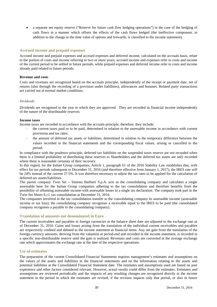a separate net equity reserve ("Reserve for future cash flow hedging operations") in the case of the hedging of cash flows in a manner which offsets the effects of the cash flows hedged (the ineffective component, in addition to the change in the time value of options and forwards, is classified to the income statement).

# **Accrued income and prepaid expenses**

Accrued income and prepaid expenses and accrued expenses and deferred income, calculated on the accruals basis, relate to the portion of costs and income referring to two or more years; accrued income and expenses refer to costs and income of the current period to be settled in future periods, while prepaid expenses and deferred income refer to costs and income already paid related to future periods.

# **Revenue and costs**

Costs and revenues are recognized based on the accruals principle, independently of the receipt or payment date, net of returns (also through the recording of a provision under liabilities), allowances and bonuses. Related party transactions are carried out at normal market conditions.

# *Dividends*

Dividends are recognised in the year in which they are approved. They are recorded as financial income independently of the nature of the distributable reserves.

#### **Income taxes**

Income taxes are recorded in accordance with the accruals principle; therefore, they include:

- ‐ the current taxes paid or to be paid, determined in relation to the assessable income in accordance with current provisions and tax rates;
- ‐ the amount of deferred tax assets or liabilities, determined in relation to the temporary difference between the values recorded in the financial statements and the corresponding fiscal values, arising or cancelled in the period.

In compliance with the prudence principle, deferred tax liabilities on the suspended taxes reserve are not recorded when there is a limited probability of distributing these reserves to Shareholders and the deferred tax assets are only recorded where there is reasonable certainty of their recovery.

In this regard, for the Italian Group companies, Article 1, paragraph 61 of the 2016 Stability Law establishes that, with effect for tax periods subsequent to December 31, 2016 (and therefore effective from January 1, 2017), the IRES rate will be 24% instead of the current 27.5%. It was therefore necessary to adjust the tax rates to be applied for the calculation of deferred tax assets/liabilities.

The parent company Twin Set – Simona Barbieri S.p.A. acts as the consolidating company and calculates a single assessable base for the Italian Group companies adhering to the tax consolidation and therefore benefits from the possibility of offsetting assessable income with assessable losses in a single tax declaration. The company took part in the Twin Set Shoes S.r.l. tax consolidation at December 31, 2016.

The companies involved in the tax consolidation transfer to the consolidating company its assessable income (assessable income or tax loss); the consolidating company recognises a receivable equal to the IRES to be paid (the consolidated company recognises a payable to the consolidating company).

# **Translation of amounts not denominated in Euro**

The current receivables and payables in foreign currencies at the balance sheet date are adjusted to the exchange rate as of December 31, 2016. Gains and losses arising from the translation of the individual current receivables and payables are respectively credited and debited to the income statement as financial items. Any net gain from the translation of the foreign currency amounts, deriving from the valuation at period-end and recorded in the income statement, is recorded in a specific non-distributable reserve until the gain is realized. Revenues and costs are converted at the average exchange rate which approximates the exchange rate at the date of the respective operations.

# **Use of estimates**

The preparation of the current Consolidated Financial Statements requires management's estimates and assumptions on the values of the assets and liabilities in the financial statements and on the information relating to the assets and potential liabilities at the Consolidated Financial Statement date. The estimates and assumptions used are based on past experience and other factors considered relevant. However, actual results could differ from the estimates. Estimates and assumptions are reviewed periodically and the impacts of any resulting changes are recognized directly in the income statement in the period in which the estimates are revised, if the revision impacts only that period, or also in future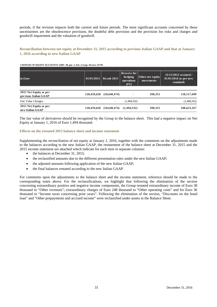periods, if the revision impacts both the current and future periods. The most significant accounts concerned by these uncertainties are the obsolescence provision, the doubtful debt provision and the provision for risks and charges and goodwill impairment and the valuation of goodwill.

# **Reconciliation between net equity at December 31, 2015 according to previous Italian GAAP and that at January 1, 2016 according to new Italian GAAP**

#### **CHANGES IN EQUITY ACCOUNTS (ART. 38, par. 1, lett. c) Legs. Decree 127/91**

| in Euro                                         | 01/01/2015  | Result 2015  | Reserve for<br>hedging<br>operations<br>(FV) | Other net equity<br>movements | 31/12/2015 restated /<br>$01/01/2016$ as per new<br>standards |
|-------------------------------------------------|-------------|--------------|----------------------------------------------|-------------------------------|---------------------------------------------------------------|
| 2015 Net Equity as per<br>previous Italian GAAP | 120,459,620 | (10,640,474) | $\blacksquare$                               | 298,353                       | 110,117,499                                                   |
| Fair Value Changes                              | ۰           | ٠.           | (1,494,332)                                  |                               | (1,494,332)                                                   |
| 2015 Net Equity as per<br>new Italian GAAP      | 120,459,620 | (10,640,474) | (1,494,332)                                  | 298,353                       | 108,623,167                                                   |

The fair value of derivatives should be recognised by the Group to the balance sheet. This had a negative impact on Net Equity at January 1, 2016 of Euro 1,494 thousand.

#### **Effects on the restated 2015 balance sheet and income statement**

Supplementing the reconciliation of net equity at January 1, 2016, together with the comments on the adjustments made to the balances according to the new Italian GAAP, the restatement of the balance sheet at December 31, 2015 and the 2015 income statement are attached which indicate for each item in separate columns:

- the balances at December 31, 2015;
- the reclassified amounts due to the different presentation rules under the new Italian GAAP;
- the adjusted amounts following application of the new Italian GAAP;
- the final balances restated according to the new Italian GAAP.

For comments upon the adjustments to the balance sheet and the income statement, reference should be made to the corresponding notes above. For the reclassifications, we highlight that following the elimination of the section concerning extraordinary positive and negative income components, the Group restated extraordinary income of Euro 38 thousand to "Other revenues"; extraordinary charges of Euro 248 thousand to "Other operating costs" and for Euro 36 thousand to "Income taxes concerning prior years". Following the elimination of the section, "Discounts on the bond loan" and "Other prepayments and accrued income" were reclassified under assets in the Balance Sheet.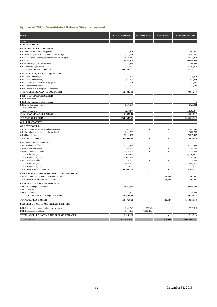# **Approved 2015 Consolidated Balance Sheet vs restated**

| in Euro                                                                   | 31/12/2015 approved      | <b>Reclassifications</b> | <b>Adjustments</b>       | 31/12/2015 restated |
|---------------------------------------------------------------------------|--------------------------|--------------------------|--------------------------|---------------------|
| <b>ASSETS</b>                                                             |                          |                          |                          |                     |
| <b>B. FIXED ASSETS</b>                                                    |                          |                          |                          |                     |
| <b>B.I INTANGIBLE FIXED ASSETS</b>                                        |                          |                          |                          |                     |
| B.I.1 Start up and formation expenses                                     | 582,801                  |                          |                          | 582,801             |
| B.I.3 Industrial patents and intellectual property rights                 | 4,147,091                | ÷,                       | L.                       | 4,147,091           |
| B.I.4 Concessions, licenses, trademarks and similar rights                | 24,429,313               |                          |                          | 24,429,313          |
| B.I.5 Goodwill                                                            | 183,409,428              | L.                       | L,                       | 183,409,428         |
| B.I.6 Assets in progress & advances                                       | 389,265                  |                          |                          | 389,265             |
| B.I.7 Other intangible assets                                             | 29,482,857               | ÷,                       |                          | 29,482,857          |
| TOTAL INTANGIBLE FIXED ASSETS                                             | 242,440,755              | $\overline{a}$           |                          | 242,440,755         |
| <b>B.II PROPERTY, PLANT &amp; EQUIPMENT</b>                               |                          |                          |                          |                     |
| B.II.1 Land and buildings                                                 | 18,764                   | ÷,                       |                          | 18,764              |
| B.II.2 Plant and machinery                                                | 5,031,294                | $\overline{a}$           |                          | 5,031,294           |
| B.II.3 Industrial and commercial equipment                                | 322,021                  | ÷,                       |                          | 322,021             |
| B.II.4 Other tangible assets                                              | 5,311,139                | $\ddot{\phantom{1}}$     |                          | 5,311,139           |
| B.II.5 Construction in progress and advances                              |                          |                          |                          |                     |
| <b>Total PROPERTY, PLANT &amp; EQUIPMENT</b>                              | 10,683,218               | ÷,                       |                          | 10,683,218          |
| <b>B.III FINANCIAL FIXED ASSETS</b>                                       |                          |                          |                          |                     |
| B.III.1 Investments:                                                      | 5                        |                          |                          | $\mathfrak s$       |
| B.III.1.d Investments in other companies                                  | 5                        |                          |                          | 5                   |
| B.III.2.d Other receivables                                               | 1,129,984                | L.                       |                          | 1,129,984           |
| due within one year                                                       |                          |                          |                          |                     |
| due beyond one year                                                       | 1,129,984                |                          |                          | 1,129,984           |
| <b>Total FINANCIAL FIXED ASSETS</b>                                       | 1,129,989                | $\overline{\phantom{a}}$ | $\overline{\phantom{a}}$ | 1,129,989           |
| <b>TOTAL FIXED ASSETS</b>                                                 | 254,253,962              |                          |                          | 254,253,962         |
| <b>C. CURRENT ASSETS</b>                                                  |                          |                          |                          |                     |
|                                                                           |                          |                          |                          |                     |
| <b>C.I INVENTORIES</b>                                                    | 3,647,546                | L.                       |                          | 3,647,546           |
| C.I.1 Raw materials, ancillary and consumables                            | 2,606,736                |                          |                          | 2,606,736           |
| C.I.2 Work in progress and semi-finished products<br>C.I.4 Finished goods | 51,215,407               | ÷.                       |                          | 51,215,407          |
| <b>Total INVENTORIES</b>                                                  | 57,469,689               | $\overline{a}$           |                          | 57,469,689          |
|                                                                           |                          |                          |                          |                     |
| <b>C.II CURRENT RECEIVABLES</b>                                           |                          |                          |                          |                     |
| C.II.1 Trade receivables                                                  | 40,171,495               | ÷,                       |                          | 40,171,495          |
| C.II.4-bis Tax receivables                                                | 3,748,290                | ÷,                       |                          | 3,748,290           |
| C.II.4-ter Deferred tax assets                                            | 9,518,339                | ÷,                       |                          | 9,518,339           |
| due within one year                                                       | 4,209,691                |                          |                          | 4,209,691           |
| due beyond one year                                                       | 5,308,648                |                          |                          | 5,308,648           |
| C.II.5 Other receivables                                                  | 550,053                  |                          |                          | 550,053             |
| due within one year                                                       | 550,053                  |                          |                          | 550,053             |
| due beyond one year<br><b>Total CURRENT RECEIVABLES</b>                   | 53,988,177               |                          |                          | 53,988,177          |
|                                                                           |                          |                          |                          |                     |
| C.III FINANCIAL ASSETS NOT HELD AS FIXED ASSETS                           | ÷,                       |                          |                          |                     |
| C.III.5. - Derivative financial instruments - Assets                      |                          |                          | 525,587                  | 525,587             |
| <b>Total CURRENT FINANCIAL ASSETS</b>                                     | $\overline{\phantom{a}}$ | $\overline{\phantom{a}}$ | 525,587                  | 525,587             |
| C.IV CASH AND CASH EQUIVALENTS                                            |                          |                          |                          |                     |
| C.IV.1 Bank and postal accounts                                           | 38,805,765               | ÷,                       |                          | 38,805,765          |
| C.IV.2 Cheques                                                            |                          |                          |                          |                     |
| C.IV.3 Cash on hand                                                       | 233,320                  | $\sim$                   | ÷,                       | 233,320             |
| TOTAL CASH AND CASH EQUIVALENTS                                           | 39,039,085               |                          |                          | 39,039,085          |
| TOTAL CURRENT ASSETS                                                      | 150,496,951              | $\overline{\phantom{a}}$ | 525,587                  | 151,022,538         |
| D ACCRUED INCOME AND PREPAID EXPENSES                                     |                          |                          |                          |                     |
| D.II Other accrued income and prepaid expenses                            | 1,247,248                | 1,066,265                |                          | 2,313,513           |
| D.III Discount on bond loan                                               | 1,066,265                | (1,066,265)              |                          |                     |
| TOTAL ACCRUED INCOME AND PREPAID EXPENSES                                 | 2,313,513                |                          |                          | 2,313,513           |
| <b>TOTAL ASSETS</b>                                                       | 407,064,426              |                          | 525,587                  | 407,590,013         |
|                                                                           |                          |                          |                          |                     |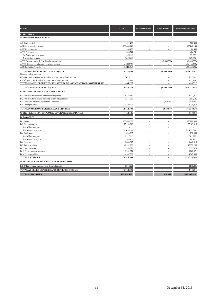| in Euro                                                          | 31/12/2015     | <b>Reclassifications</b> | Adjustments   | 31/12/2015 restated |
|------------------------------------------------------------------|----------------|--------------------------|---------------|---------------------|
| <b>LIABILITIES</b>                                               |                |                          |               |                     |
| <b>A. SHAREHOLDERS' EQUITY</b>                                   |                |                          |               |                     |
|                                                                  |                |                          |               |                     |
| A.I Share capital                                                | 522,400        |                          |               | 522,400             |
| A.II Share premium reserve                                       | 133,840,149    |                          |               | 133,840,149         |
| A.IV Legal reserve                                               | 104,480        |                          |               | 104,480             |
| A.VII Other reserve:                                             | 424,741        |                          |               | 424,741             |
| Exchange gains reserve                                           | 95,055         |                          |               | 95,055              |
| Translation reserve                                              | 329,686        |                          |               | 329,686             |
| A.VII Reserve for cash flow hedging operations                   |                |                          | (1,494,332)   | (1,494,332)         |
| A. VIII Retained earnings/(accumulated losses)                   | (14, 133, 797) | $\sim$                   |               | (14, 133, 797)      |
| A.IX Profit (loss) for the year                                  | (10, 640, 474) |                          |               | (10,640,474)        |
| TOTAL GROUP SHAREHOLDERS' EQUITY                                 | 110,117,499    |                          | (1, 494, 332) | 108,623,167         |
| Non-controlling Interests                                        |                |                          |               |                     |
| - Capital and reserves attributable to non-controlling interests | 261,011        |                          |               | 261,011             |
| - Profit/(loss) attributable to non-controlling interests        | 233,766        |                          |               | 233,766             |
| TOTAL SHAREHOLDERS' EQUITY ATTRIB. TO NON-CONTROLLING INTERESTS  | 494,777        |                          |               | 494,777             |
| TOTAL SHAREHOLDERS' EQUITY                                       | 110,612,276    |                          | (1, 494, 332) | 109,117,944         |
| <b>B. PROVISIONS FOR RISKS AND CHARGES</b>                       |                |                          |               |                     |
| B.1 Provision for pensions and similar obligations               | 4,432,216      |                          |               | 4,432,216           |
| B.2 Provision for taxation, including deferred tax liabilities   | 6,551,536      |                          | ä,            | 6,551,536           |
| B.3 Derivative financial instruments - liabilities               |                |                          | 2.019.919     | 2,019,919           |
| B.4 Other provisions                                             | 3,330,957      |                          |               | 3,330,957           |
| TOTAL PROVISIONS FOR RISKS AND CHARGES                           | 14,314,709     |                          | 2,019,919     | 16,334,628          |
| C. PROVISIONS FOR EMPLOYEE SEVERANCE INDEMNITIES                 | 710,186        |                          |               | 710,186             |
| <b>D. PAYABLES</b>                                               |                |                          |               |                     |
| D.1 Bonds                                                        | 150,000,000    |                          |               | 150,000,000         |
| D.3 Shareholder loan                                             | 75,169,816     |                          |               | 75,169,816          |
| due within one year                                              |                |                          |               |                     |
| due beyond one year                                              | 75,169,816     |                          |               | 75,169,816          |
| D.4 Bank loans                                                   | 890,065        |                          |               | 890,065             |
| due within one year                                              | 811,922        |                          |               | 811,922             |
| due beyond one year                                              | 78,143         |                          |               | 78,143              |
| D.6 Advances                                                     | 1,440,815      | $\overline{a}$           |               | 1,440,815           |
| D.7 Trade payables                                               | 42,992,236     |                          |               | 42,992,236          |
| D.12 Tax payables                                                | 3,393,573      |                          |               | 3,393,573           |
| D.13 Social security payables                                    | 1,262,871      |                          |               | 1,262,871           |
| D.14 Other payables                                              | 4,367,588      |                          |               | 4,367,588           |
| <b>TOTAL PAYABLES</b>                                            | 279,516,964    |                          |               | 279,516,964         |
| & ACCRUED EXPENSES AND DEFERRED INCOME                           |                |                          |               |                     |
| E.II Other accrued expenses and deferred income                  | 1,910,291      |                          |               | 1,910,291           |
| TOTAL ACCRUED EXPENSES AND DEFERRED INCOME                       | 1,910,291      |                          |               | 1,910,291           |
| <b>TOTAL LIABILITIES</b>                                         | 407,064,426    |                          | 525,587       | 407,590,013         |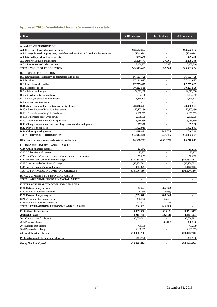# **Approved 2015 Consolidated Income Statement vs restated**

| in Euro                                                                         | 2015 approved  | <b>Reclassifications</b> | 2015 restated  |
|---------------------------------------------------------------------------------|----------------|--------------------------|----------------|
|                                                                                 |                |                          |                |
| <b>A. VALUE OF PRODUCTION</b>                                                   |                |                          |                |
| A.1 Revenues from sales and services                                            | 243,522,362    |                          | 243,522,362    |
| A.2 Change in work in progress, semi-finished and finished products inventories | (559, 094)     | $\blacksquare$           | (559, 094)     |
| A.4 Internally produced fixed assets                                            | 329,426        |                          | 329,426        |
| A.5 Other revenues and income                                                   | 2,250,775      | 37,565                   | 2,288,340      |
| A.5.b Revenues and other income                                                 | 2,250,775      | 37,565                   | 2,288,340      |
| <b>TOTAL VALUE OF PRODUCTION</b>                                                | 245,543,469    | 37,565                   | 245,581,034    |
| <b>B. COSTS OF PRODUCTION</b>                                                   |                |                          |                |
| B.6 Raw materials, ancillary, consumables and goods                             | 86,193,458     |                          | 86,193,458     |
| <b>B.7 Services</b>                                                             | 67.141.697     | ä,                       | 67,141,697     |
| B.8 Rent, lease & similar                                                       | 17,755,697     | ٠                        | 17,755,697     |
| <b>B.9 Personnel costs</b>                                                      | 30,227,596     | ÷,                       | 30,227,596     |
| B.9.a Salaries and wages                                                        | 22,771,378     |                          | 22,771,378     |
| B.9.b Social security contributions                                             | 6,182,090      |                          | 6,182,090      |
| B.9.c Employee severance indemnities                                            | 1,274,128      |                          | 1,274,128      |
| B.9.e Other personnel costs                                                     |                |                          |                |
| B.10 Amortisation, depreciation and write-downs                                 | 28,336,503     | $\blacksquare$           | 28,336,503     |
| B.10.a Amortisation of intangible fixed assets                                  | 20,453,490     |                          | 20,453,490     |
| B.10.b Depreciation of tangible fixed assets                                    | 2,658,579      |                          | 2,658,579      |
| B.10.c Other fixed asset write-downs                                            | 2,188,075      |                          | 2,188,075      |
| B.10.d Write-down of current and liquid assets                                  | 3,036,359      |                          | 3,036,359      |
| B.11 Change in raw materials, ancillary, consumables and goods                  | 1,107,980      |                          | 1,107,980      |
| <b>B.12 Provisions for risks</b>                                                | 1,352,941      |                          | 1,352,941      |
| <b>B.14 Other operating costs</b>                                               | 2,498,814      | 247,535                  | 2,746,349      |
| <b>TOTAL COSTS OF PRODUCTION</b>                                                | 234,614,686    | 247,535                  | 234,862,221    |
|                                                                                 |                |                          |                |
| Difference between value and costs of production                                | 10,928,783     | (209, 970)               | 10,718,813     |
| C. FINANCIAL INCOME AND CHARGES                                                 |                |                          |                |
| C.16 Other financial income                                                     | 27,277         | $\blacksquare$           | 27,277         |
| C.16.d Other financial income                                                   | 27,277         |                          | 27,277         |
| C.16.d.4 Financial income from investments in other companies                   | 27,277         |                          | 27,277         |
| C.17 Interest and other financial charges                                       | (15, 134, 582) | $\blacksquare$           | (15, 134, 582) |
| C.17.d Interest and other financial charges                                     | (15, 134, 582) |                          | (15, 134, 582) |
| C.17-bis Exchange gains and losses                                              | (1,063,025)    |                          | (1,063,025)    |
| TOTAL FINANCIAL INCOME AND CHARGES                                              | (16, 170, 330) | ÷.                       | (16, 170, 330) |
| <b>D. ADJUSTMENTS TO FINANCIAL ASSETS</b>                                       |                |                          |                |
| TOTAL ADJUSTMENTS TO FINANCIAL ASSETS                                           |                |                          |                |
|                                                                                 |                |                          |                |
| E. EXTRAORDINARY INCOME AND CHARGES                                             |                |                          |                |
| E.20 Extraordinary income                                                       | 37,565         | (37, 565)                | ٠              |
| E.20.b Other extraordinary income                                               | 37,565         | (37, 565)                |                |
| E.21 Extraordinary charges                                                      | (283, 948)     | 283,948                  |                |
| E.21.b Taxes relating to prior years                                            | (36, 413)      | 36,413                   |                |
| E.21.c Others extraordinary charges                                             | (247, 535)     | 247,535                  |                |
| TOTAL EXTRAORDINARY INCOME AND CHARGES                                          | (246, 383)     | 246,383                  |                |
| Profit/(loss) before taxes                                                      | (5,487,930)    | 36,413                   | (5,451,517)    |
| 20 Income taxes                                                                 | (4,918,778)    | (36, 413)                | (4,955,191)    |
| 20.a Current taxes for the year                                                 | (7,856,792)    |                          | (7,856,792)    |
| 20.b Prior year taxes                                                           |                | (36, 413)                | (36, 413)      |
| 20.c Deferred tax income                                                        | 769,619        |                          | 769,619        |
| 20.d Deferred tax charge                                                        | 2,168,395      | ٠                        | 2,168,395      |
| 23 Profit/(loss) for the year                                                   | (10, 406, 708) | ä,                       | (10, 406, 708) |
| Profit attributable to non-controlling int.                                     | 233,766        | ä,                       | 233,766        |
| Group Net Profit/(loss)                                                         | (10, 640, 474) |                          | (10,640,474)   |
|                                                                                 |                |                          |                |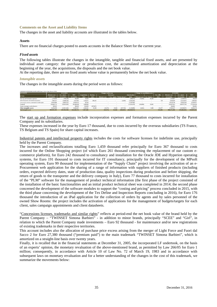# **Comments on the Asset and Liability Items**

The changes in the asset and liability accounts are illustrated in the tables below.

#### **Assets**

There are no financial charges posted to assets accounts in the Balance Sheet for the current year.

#### *Fixed assets*

The following tables illustrate the changes in the intangible, tangible and financial fixed assets, and are presented by individual asset category: the purchase or production cost, the accumulated amortization and depreciation at the beginning of the year, the acquisitions, the disposals and the net book value.

At the reporting date, there are no fixed assets whose value is permanently below the net book value.

#### *Intangible assets*

The changes in the intangible assets during the period were as follows:

| CHANGES IN INTANGIBLE ASSETS (ART.38, par. 1, lett. c) Legs. Decree 127/91) |                      |              |             |                     |           |                      |                  |                           |                |                              |                              |             |                      |              |             |  |
|-----------------------------------------------------------------------------|----------------------|--------------|-------------|---------------------|-----------|----------------------|------------------|---------------------------|----------------|------------------------------|------------------------------|-------------|----------------------|--------------|-------------|--|
| <b>ACCOUNT</b>                                                              |                      | 31/12/2015   |             |                     |           | Changes in the year  |                  |                           |                |                              | Change in consolidation area |             | 31/12/2016           |              |             |  |
| in Euro                                                                     | <b>Historic cost</b> | Acc. amort.  | <b>NRV</b>  | <b>Acquisitions</b> | Reclass.  |                      | <b>Decreases</b> |                           | Amortisation   |                              |                              | Exc. diffs. | <b>Historic cost</b> | Acc. amort.  | <b>NBV</b>  |  |
|                                                                             | 31/12/2015           | 31/12/2015   | 31/12/2015  | 2015                | 2015      | <b>Historic cost</b> |                  | Acc. amort.   Write-downs | 2016           | Historic cost   Acc. deprec. |                              | 2016        | 31/12/2016           | 31/12/2016   | 31/12/2016  |  |
| Start up and formation expenses                                             | 1.379.029            | 796.228)     | 582.801     | 16,630              |           |                      |                  |                           | (308.913)      | (76, 692)                    | 66,208                       |             | 1.318.967            | (1.038.933)  | 280,034     |  |
| Industrial patents and intellectual property                                | 7,995,317            | (3.848.226)  | 4,147,091   | 1.162.671           | 296,161   |                      |                  | (2.929)                   | (1.663, 442)   |                              |                              | 729         | 9,454,878            | (5.514.597)  | 3.940.281   |  |
| Concessions, licenses, trademarks & similar rights                          | 29,424,480           | (4.995.167)  | 24,429,313  | 92.250              |           |                      |                  |                           | (1.587.092)    |                              |                              |             | 29.516.730           | (6.582.259)  | 22.934.471  |  |
| Goodwill                                                                    | 218,462.713          | (35.053.285) | 183,409,428 | 1,000,000           |           |                      |                  |                           | (11.952.479)   | (164,800)                    | 32,045                       |             | 219.297.913          | (46,973,719) | 172.324.194 |  |
| Assets in progress and advances                                             | 389,265              |              | 389.265     | 823,093             | (387.667) |                      |                  |                           |                |                              |                              |             | 824,691              |              | 824,691     |  |
| Other intangible assets                                                     | 43,294,299           | (13.811.442) | 29.482.857  | 4.362.841           | 91,506    | (33.575)             | 33,569           | (457.763)                 | (5.128.889)    | (8.441)                      | 5.588                        | 152.477     | 47,859,107           | (19,358,937) | 28,500.170  |  |
| <b>Total intanzible assets</b>                                              | 300.945.103          | (58.504.348) | 242,440,755 | 7.457.485           |           | (33, 575)            | 33,569           | (460.692)                 | (20, 640, 815) |                              |                              | 153,206     | 308,272,286          | (79.468.445) | 228.803.841 |  |

The start up and formation expenses include incorporation expenses and formation expenses incurred by the Parent Company and its subsidiaries.

These expenses increased in the year by Euro 17 thousand, due to costs incurred by the overseas subsidiaries (TS France, TS Belgium and TS Spain) for share capital increases.

Industrial patents and intellectual property rights includes the costs for software licenses for indefinite use, principally held by the Parent Company.

The increases and reclassifications totalling Euro 1,459 thousand refer principally for Euro 367 thousand to costs incurred for the Online Shopping project (of which Euro 261 thousand concerning the replacement of our custom ecommerce platform), for Euro 242 thousand to consultancy and installation for the Oracle JDE and Hyperion operating systems, for Euro 191 thousand to costs incurred for IT consultancy, principally for the development of the MPsoft operating system, Euro 99 thousand for implementation of the "Supply Chain" project involving the activation of an e-Procurement web application for the sharing of a range of information with suppliers of finished products (including orders, expected delivery dates, state of production data, quality inspections during production and before shipping, the return of goods to the transporter and the delivery company in Italy), Euro 77 thousand to costs incurred for installation of the "PLM" software for the management of product technical information (the first phase of the project consisted of the installation of the basic functionalities and an initial product technical sheet was completed in 2014; the second phase concerned the development of the software modules to support the "costing and pricing" process concluded in 2015, with the third phase concerning the development of the Tex Define and Inspection Reports concluding in 2016), for Euro 176 thousand the introduction of an iPad application for the collection of orders by agents and by sales personnel of the owned Show Rooms: the project includes the activation of applications for the management of budgets/targets for each client, sales campaign appointments and client datasheets.

"Concessions licenses, trademarks and similar rights" reflects at period-end the net book value of the brand held by the Parent Company - "TWINSET Simona Barbieri" - in addition to minor brands, principally "SCEE" and "Girl", in relation to which the Parent Company made investments – Euro 92 thousand - for maintenance and/or new registrations of existing trademarks in their respective territories.

This account includes also the allocation of purchase price excess arising from the merger of Light Force and Fuori dal Sacco 2 for Euro 27,380 thousand ("premium paid") to the main trademark "TWINSET Simona Barbieri", which is amortized on a straight-line basis over twenty years.

Finally, it is recalled that in the financial statements at December 31, 2005, the incorporated LF undertook, on the basis of an experts' opinion, the monetary revaluation of the above-mentioned brand, as permitted by Law 266/05 for Euro 1 million; consequently, in accordance with Article 10 of Law No. 72 of March 19, 1983 and in accordance with subsequent laws on monetary revaluation and for a better understanding of the changes in the cost of this trademark, we summarize the movements below: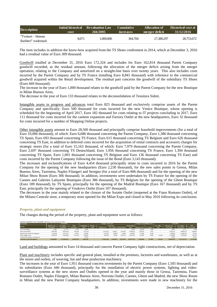| <b>Description</b>  | Initial historical<br>cost | <b>Revaluation Law</b><br>266/2005 | <b>Cumulative</b><br><i>increases</i> | Allocation of<br>merger deficit | <b>Historical cost at</b><br>31/12/2016 |
|---------------------|----------------------------|------------------------------------|---------------------------------------|---------------------------------|-----------------------------------------|
| "Twinset - Simona   |                            | 1.000.000                          |                                       |                                 |                                         |
| Barbieri" trademark | 8.071                      |                                    | 364,704                               | 27,380,297                      | 28,753,072                              |

The item includes in addition the know-how acquired from the TS Shoes conferment in 2014, which at December 3, 2016 had a residual value of Euro 309 thousand.

Goodwill totalled at December 31, 2016 Euro 172,324 and includes for Euro 162,814 thousand Parent Company goodwill recorded, as the residual amount, following the allocation of the merger deficit arising from the merger operation, relating to the Company and amortized on a straight-line basis over twenty years. This also includes costs incurred by the Parent Company and by TS France (totalling Euro 8,841 thousand) with reference to the commercial goodwill acquired within the Retail development. The residual part concerns the goodwill of the subsidiary TS Shoes (Euro 669 thousand).

The increase in the year of Euro 1,000 thousand relates to the goodwill paid by the Parent Company for the new Boutique in Milan Buenos Aires.

The decrease in the year of Euro 133 thousand relates to the deconsolidation of Tessitura Sidoti.

Intangible assets in progress and advances total Euro 825 thousand and exclusively comprise assets of the Parent Company and specifically: Euro 500 thousand for costs incurred for the new Venice Boutique, whose opening is scheduled for the beginning of April 2017, Euro 182 thousand for costs relating to IT projects concluding in 2017, Euro 111 thousand for costs incurred for the canteen expansion and Factory Outlet at the new headquarters, Euro 32 thousand for costs incurred for a number of Shopping Online projects.

Other intangible assets amount to Euro 28,500 thousand and principally comprise leasehold improvements (for a total of Euro 10,006 thousand), of which: Euro 6,686 thousand concerning the Parent Company, Euro 1,386 thousand concerning TS Spain, Euro 693 thousand concerning TS France, Euro 615 thousand concerning TS Belgium and Euro 626 thousand concerning TS East, in addition to deferred costs incurred for the acquisition of rental contracts and accessory charges for strategic stores (for a total of Euro 15,163 thousand, of which: Euro 7,979 thousand concerning the Parent Company, Euro 2,697 thousand concerning TS Deutschland, Euro 1,956 thousand concerning TS France, Euro 1,394 thousand concerning TS Spain, Euro 1,001 thousand concerning TS Belgium and Euro 136 thousand concerning TS East) and costs incurred by the Parent Company following the issue of the Bond (Euro 3,143 thousand).

The increases and reclassifications of Euro 4,454 thousand principally relate to costs incurred in 2016 by the Parent Company for the opening of the new headquarters (Euro 2,230 thousand), for the new sales points in Genoa, Milan Buenos Aires, Taormina, Naples Filangeri and Seregno (for a total of Euro 806 thousand) and for the opening of the new Milan Show Room (Euro 306 thousand). In addition, investments were undertaken by TS France for the opening of the Cannes and Galeries Lafayette Boutiques (Euro 386 thousand), by TS Belgium for the opening of the Ghent Boutique (Euro 189 thousand), by TS Spain, principally for the opening of the Madrid Boutique (Euro 167 thousand) and by TS East, principally for the opening of Vnukovo Outlet (Euro 107 thousand).

The decreases in the year mainly related to the closure of the Soratte Outlet (reopened at the Fiano Romano Outlet), of the Milano Centrale store, a temporary store opened for the Milan Expo and closed in May 2016 following its conclusion.

# *Property, plant and equipment*

**CHANGES IN PROPERTY, PLANT & EQUIPMENT (ART.38, par. 1, lett. c) Legs. Decree 127/91)**

The changes during the period of the property, plant and equipment were as follows:

| <b>ACCOUNT</b>                        |                      | 31/12/2015   |            |              | Changes in the year |                      |                  |                            | Change in consolidation area |           | 31/12/2015                   |             |                      |              |            |
|---------------------------------------|----------------------|--------------|------------|--------------|---------------------|----------------------|------------------|----------------------------|------------------------------|-----------|------------------------------|-------------|----------------------|--------------|------------|
| in Euro                               | <b>Historic cost</b> | Acc. deprec. | <b>NBV</b> | Acquisitions | Reclass.            |                      | <b>Decreases</b> |                            | <b>Depreciation</b>          |           |                              | Exc. diffs. | <b>Historic cost</b> | Acc. deprec. | <b>NBV</b> |
|                                       | 31/12/2015           | 31/12/2015   | 31/12/2015 | 2016         | 2016                | <b>Historic cost</b> |                  | Acc. deprec.   Write-downs | 2016                         |           | Historic cost   Acc. deprec. | 2016        | 31/12/2016           | 31/12/2016   | 31/12/2016 |
| Land and buildings                    | 29.881               | (11, 117)    | 18.764     | 14,000       |                     |                      |                  |                            | (2.929)                      | (22.918)  | 6,869                        |             | 20.963               | (7,177)      | 13,786     |
| Plant and machinery                   | 14.087.804           | (9.056.510)  | 5.031.294  | 1.951.158    |                     | (1.193.557)          | 1.190.811        | (192.303)                  | (1.000.332)                  | (192.281) | 71.815                       |             | 14,653,124           | (8.986.519)  | 5,666,605  |
| Industrial and commercial equipment   | 1.394.148            | (1.072.127)  | 322.021    | 414,699      |                     | (147.055)            | 128,804          | (5.099)                    | (453,087                     | (17.206)  | 13,364                       |             | 1,644,586            | (1.388.145)  | 256,441    |
| Other tangible assets                 | 10.857.032           | (5.545.893)  | 5.311.139  | 2.076.367    |                     | (240.552)            | 86,282           | (145.791)                  | (1.622.767)                  | (62.263)  | 35,839                       | 119.219     | 12.749.803           | (7.192.330)  | 5,557,473  |
| Construction in progress and advances |                      |              |            | 30,783       |                     |                      |                  |                            |                              |           |                              |             | 30,783               |              | 30,783     |
| Total property, plant and equipment   | 26,368,865           | (15,685,647) | 10.683.218 | 4.487.007    |                     | (1.581.164)          | 1.405.897        | (343.193)                  | (3.079.115)                  | (294.668) | 127,887                      | 119,219     | 29,099,259           | (17.574.171) | 11.525,088 |

Land and buildings amounted to Euro 14 thousand and concern Parent Company light constructions, net of depreciation.

Plant and machinery includes specific and general plant, installed at the premises, factories and warehouses, as well as at the stores and outlets, of weaving, hat and shoe production machinery.

The increases in the year of Euro 1,951 thousand concern investments by the Parent Company (Euro 1,505 thousand) and its subsidiaries (Euro 446 thousand), principally for the installation of electric power systems, lighting and videosurveillance systems at the new stores and Outlets opened in the year and mainly those in Genoa, Taormina, Fiano Romano Outlet, Naples Filangeri, Milan Buenos Aires, Noventa Outlet, Cannes, Ghent and Madrid, the new Show Room in Milan and the new Parent Company headquarters. In addition, investments were made in new machinery for the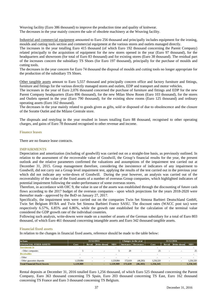Weaving facility (Euro 386 thousand) to improve the production time and quality of knitwear. The decreases in the year mainly concern the sale of obsolete machinery at the Weaving facility.

Industrial and commercial equipment amounted to Euro 256 thousand and principally includes equipment for the ironing, moulds and cutting tools section and commercial equipment at the various stores and outlets managed directly.

The increases in the year totalling Euro 415 thousand (of which Euro 192 thousand concerning the Parent Company) related principally to the acquisition of equipment for the new stores opened in the year (Euro 97 thousand), for the headquarters and showroom (for total of Euro 83 thousand) and for existing stores (Euro 38 thousand). The residual part of the increases concern the subsidiary TS Shoes (for Euro 197 thousand), principally for the purchase of moulds and cutting tools.

The decreases in the year concern for Euro 74 thousand the disposal of moulds and cutting tools no longer appropriate for the production of the subsidiary TS Shoes.

Other tangible assets amount to Euro 5,557 thousand and principally concern office and factory furniture and fittings, furniture and fittings for the various directly managed stores and outlets, EDP and transport and motor vehicles.

The increases in the year of Euro 2,076 thousand concerned the purchase of furniture and fittings and EDP for the new Parent Company headquarters (Euro 896 thousand), for the new Milan Show Room (Euro 103 thousand), for the stores and Outlets opened in the year (Euro 790 thousand), for the existing show rooms (Euro 125 thousand) and ordinary operating assets (Euro 162 thousand).

The decreases in the year mainly related to goods given as gifts, sold or disposed of due to obsolescence and the closure of the Soratte Outlet and the Milano Centrale store.

The disposals and restyling in the year resulted in losses totalling Euro 88 thousand, recognised to other operating charges, and gains of Euro 78 thousand recognised to other revenue and income.

#### **Finance leases**

There are no finance lease contracts.

#### **IMPAIRMENTS**

Depreciation and amortization (including of goodwill) was carried out on a straight-line basis, as previously outlined. In relation to the assessment of the recoverable value of Goodwill, the Group's financial results for the year, the present outlook and the relative parameters confirmed the valuations and assumptions of the impairment test carried out at December 31, 2015. Group management therefore, considering the inexistence of indicators of any impairment to Goodwill, did not carry out a Group level impairment test, applying the results of the test carried out in the previous year which did not indicate any write-down of Goodwill. During the year however, an analysis was carried out of the recoverability of the value of the fixed assets of a number of overseas Group companies, which highlighted indicators of potential impairment following the under-performance of some overseas stores.

Therefore, in accordance with OIC 9, the value in use of the assets was established through the discounting of future cash flows according to the 2017 budget of the overseas companies - upon which projections for the years 2018-2020 were thereafter made - approved by the BoD on January 27, 2017.

Specifically, the impairment tests were carried out on the companies Twin Set Simona Barbieri Deutschland GmbH, Twin Set Belgium BVBA and Twin Set Simona Barbieri France SASU. The discount rates (WACC post tax) were respectively 6.57%, 6.85% and 6.86%, while the growth rate established for the calculation of the terminal value considered the GDP growth rate of the individual countries.

Following such analysis, write-downs were made on a number of assets of the German subsidiary for a total of Euro 803 thousand, of which Euro 461 thousand concerning intangible assets and Euro 342 thousand tangible assets.

#### **Financial fixed assets**

In relation to the changes in financial fixed assets, reference should be made to the table below:

| lin Euro                            | 31/12/2015               |                          |                          |                          |         | Changes in the year   | 31/12/2016               |        |                          |            |
|-------------------------------------|--------------------------|--------------------------|--------------------------|--------------------------|---------|-----------------------|--------------------------|--------|--------------------------|------------|
| <b>FINANCIAL FIXED ASSETS</b>       | Cost                     | Reval.                   | Write-downs              | <b>NBV</b>               |         | Increases   Decreases | Cost                     | Reval. | Write-downs              | <b>NBV</b> |
| <i>Investments in</i>               | $\sim$                   |                          |                          |                          |         |                       |                          |        |                          |            |
| - Other companies                   |                          | $\overline{\phantom{a}}$ | $\overline{\phantom{a}}$ |                          | 20      |                       | 25                       |        |                          | 25         |
| <b>Receivables</b>                  | $\overline{\phantom{a}}$ |                          |                          |                          |         |                       | $\overline{\phantom{a}}$ |        |                          |            |
| - Other                             | $\sim$                   | ۰                        |                          | $\overline{\phantom{a}}$ |         |                       |                          |        | $\overline{\phantom{a}}$ |            |
| - Other guarantee deposits          | 1,129,984                | $\sim$                   | $\overline{\phantom{a}}$ | 1.129.984                | 172,619 | (46,283)              | 1,256,320                |        | $\overline{\phantom{a}}$ | 1,256,320  |
| <b>Total Financial Fixed Assets</b> | 1,129,989                | $\blacksquare$           | ٠                        | 1.129.989                | 172,639 | (46.283)              | 1,256,345                |        | ٠                        | 1,256,345  |

Rental deposits at December 31, 2016 totalled Euro 1,256 thousand, of which Euro 525 thousand concerning the Parent Company, Euro 363 thousand concerning TS Spain, Euro 203 thousand concerning TS East, Euro 162 thousand concerning TS France and Euro 3 thousand concerning TS Belgium.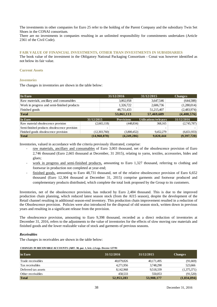The investments in other companies for Euro 25 refer to the holding of the Parent Company and the subsidiary Twin Set Shoes in the CONAI consortium.

There are no investments in companies resulting in an unlimited responsibility for commitments undertaken (Article 2361 of the Civil Code).

# **FAIR VALUE OF FINANCIAL INVESTMENTS, OTHER THAN INVESTMENTS IN SUBSIDIARIES**

The book value of the investment in the Obligatory National Packaging Consortium - Conai was however identified as not below its fair value.

# **Current Assets**

# *Inventories*

The changes in inventories are shown in the table below:

| In Euro                                       |              |              | 31/12/2016        |                          | 31/12/2015            | <b>Changes</b> |
|-----------------------------------------------|--------------|--------------|-------------------|--------------------------|-----------------------|----------------|
| Raw materials, ancillary and consumables      |              |              | 3,002,958         |                          | 3,647,546             | (644,588)      |
| Work in progress and semi-finished products   |              |              | 1,326,722         |                          | 2,606,736             | (1,280,014)    |
| Finished goods                                |              |              | 48,731,433        |                          | 51,215,407            | (2,483,974)    |
| <b>Total</b>                                  |              |              | 53,061,113        |                          | 57,469,689            | (4,408,576)    |
| In Euro                                       | 31/12/2015   |              | <b>Provisions</b> |                          | Utilisations/releases | 31/12/2016     |
| Raw material obsolescence provision           |              | (2,665,118)  | (448, 834)        |                          | 368,165               | (2,745,787)    |
| Semi-finished products obsolescence provision |              | ۰            |                   | $\overline{\phantom{0}}$ |                       |                |
| Finished goods obsolescence provision         |              | (12,303,760) | (3,800,452)       |                          | 9,452,279             | (6,651,933)    |
| <b>Total</b>                                  | (14,968,878) |              | (4,249,286)       |                          | 9,820,444             | (9,397,720)    |

Inventories, valued in accordance with the criteria previously illustrated, comprise:

- raw materials, ancillary and consumables of Euro 3,003 thousand, net of the obsolescence provision of Euro 2,746 thousand (Euro 2,665 thousand at December, 31 2015), relating to yarns, textiles, accessories, hides and glues;
- work in progress and semi-finished products, amounting to Euro 1,327 thousand, referring to clothing and footwear in production not completed at year-end;
- ‐ finished goods, amounting to Euro 48,731 thousand, net of the relative obsolescence provision of Euro 6,652 thousand (Euro 12,304 thousand at December 31, 2015) comprise garments and footwear produced and complementary products distributed, which complete the total look proposed by the Group to its customers.

Inventories, net of the obsolescence provision, has reduced by Euro 2,484 thousand. This is due to the improved production chain planning, which reduced latest season stock (from the AI15 season), despite the development of the Retail channel resulting in additional season-end inventory. This production chain improvement resulted in a reduction of the Obsolescence provision. Policies were also introduced for the disposal of old season stock, written down in previous years and resulting in a significant release from the provision.

The obsolescence provision, amounting to Euro 9,398 thousand, recorded as a direct reduction of inventories at December 31, 2016, refers to the adjustments to the value of inventories for the effects of slow moving raw materials and finished goods and the lower realizable value of stock and garments of previous seasons.

# *Receivables*

The changes in receivables are shown in the table below:

#### **CHANGES IN RECEIVABLE ACCOUNTS (ART. 38, par. 1, lett. c) Legs. Decree 127/91**

| in Euro             | 31/12/2016 | 31/12/2015 | <b>Changes</b> |
|---------------------|------------|------------|----------------|
| Trade receivables   | 40,079,826 | 40,171,495 | (91,669)       |
| Tax receivables     | 4,271,956  | 3,748,290  | 523,666        |
| Deferred tax assets | 8,142,968  | 9,518,339  | (1,375,371)    |
| Other receivables   | 458.533    | 550,053    | (91,520)       |
| <b>Total</b>        | 52,953,283 | 53,988,177 | (1,034,894)    |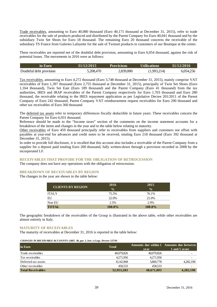Trade receivables, amounting to Euro 40,080 thousand (Euro 40,171 thousand at December 31, 2015), refer to trade receivables for the sale of products produced and distributed by the Parent Company for Euro 40,041 thousand and by the subsidiary Twin Set Shoes for Euro 18 thousand. The remaining Euro 20 thousand concerns the receivable of the subsidiary TS France from Galeries Lafayette for the sale of Twinset products to customers of our Boutique at the center.

These receivables are reported net of the doubtful debt provision, amounting to Euro 6,054 thousand, against the risk of potential losses. The movements in 2016 were as follows:

| $\sin$ Euro             | 31/12/2015 | <b>Provisions</b> | Utilisations' | 31/12/2016 |
|-------------------------|------------|-------------------|---------------|------------|
| Doubtful debt provision | 5,208,470  | 2,839,000         | (1,993,214)   | 6,054,256  |

Tax receivables, amounting to Euro 4,272 thousand (Euro 3,748 thousand at December 31, 2015), mainly comprise VAT receivables of Euro 1,397 thousand (Euro 2,755 thousand at December 31, 2015), principally of Twin Set Shoes (Euro 1,164 thousand), Twin Set East (Euro 189 thousand) and the Parent Company (Euro 41 thousand) from the tax authorities, IRES and IRAP receivables of the Parent Company respectively for Euro 1,703 thousand and Euro 280 thousand, the receivable relating to the IRES repayment application as per Legislative Decree 201/2011 of the Parent Company of Euro 242 thousand, Parent Company VAT reimbursement request receivables for Euro 290 thousand and other tax receivables of Euro 360 thousand.

The deferred tax assets refer to temporary differences fiscally deductible in future years. These receivables concern the Parent Company for Euro 6,931 thousand.

Reference should be made to the "Income taxes" section of the comments on the income statement accounts for a breakdown of the items and changes in the year and to the table below relating to maturity.

Other receivables of Euro 459 thousand principally refer to receivables from suppliers and customers not offset with payables at year-end for advances and credit notes to be received, totaling Euro 218 thousand (Euro 392 thousand at December 31, 2015).

In order to provide full disclosure, it is recalled that this account also includes a receivable of the Parent Company from a supplier for a deposit paid totaling Euro 200 thousand, fully written-down through a provision recorded in 2008 by the incorporated LF.

# **RECEIVABLES THAT PROVIDE FOR THE OBLIGATION OF RETROCESSION**

The company does not have any operations with the obligation of retrocession.

#### **BREAKDOWN OF RECEIVABLES BY REGION**

The changes in the year are shown in the table below:

| <b>CLIENTS BY REGION</b> | 2016<br>$\frac{0}{0}$ | 2015<br>$\frac{0}{0}$ |
|--------------------------|-----------------------|-----------------------|
| <b>ITALY</b>             | 75.5%                 | 76.1%                 |
| EU                       | 22.0%                 | 21.0%                 |
| Non EU                   | 2.5%                  | 2.9%                  |
| <b>TOTAL</b>             | $100.0\%$             | $100.0\%$             |

The geographic breakdown of the receivables of the Group is illustrated in the above table, while other receivables are almost entirely in Italy.

#### **MATURITY OF RECEIVABLES**

The maturity of receivables at December 31, 2016 is reported in the table below:

#### **CHANGES IN RECEIVABLE ACCOUNTS (ART. 38, par. 1, lett. c) Legs. Decree 127/91**

| in Euro                  | <b>Total</b> | vear       | Amounts due within 1 Amounts due between<br>1 and 5 years |
|--------------------------|--------------|------------|-----------------------------------------------------------|
| Trade receivables        | 40,079,826   | 40,079,826 | $\overline{\phantom{a}}$                                  |
| Tax receivables          | 4,271,956    | 4,271,956  | $\overline{\phantom{0}}$                                  |
| Deferred tax assets      | 8.142.968    | 3,860,778  | 4,282,190                                                 |
| Other receivables        | 458.533      | 458.533    | $\overline{\phantom{0}}$                                  |
| <b>Total Receivables</b> | 52,953,283   | 48,671,093 | 4,282,190                                                 |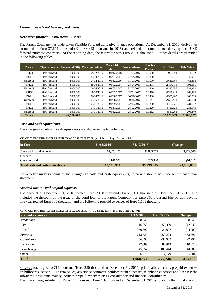# *Financial assets not held as fixed assets*

# *Derivative financial instruments - Assets*

The Parent Company has undertaken Flexible Forward derivative finance operations. At December 31, 2016, derivatives amounted to Euro 37,674 thousand (Euro 44,328 thousand in 2015) and related to commitments deriving from USD forward purchase contracts. At the reporting date, the fair value was Euro 2,286 thousand. Further details are provided in the following table:

| <b>Banca</b>  | Tipo contratto | Importo (USD) | Data operazione | Data inizio<br>utilizzo | Data scadenza | <b>Cambio</b><br><b>Forward</b> | <b>Ctr Euro</b> | <b>Fair Value</b> |
|---------------|----------------|---------------|-----------------|-------------------------|---------------|---------------------------------|-----------------|-------------------|
| <b>BPER</b>   | Flexi forward  | 1,000,000     | 04/12/2015      | 01/12/2016              | 31/03/2017    | 1.1000                          | 909,091         | 14.632            |
| <b>BNL</b>    | Flexi forward  | 2,000,000     | 22/04/2016      | 09/01/2017              | 27/04/2017    | 1.1300                          | 1.769.912       | 49,901            |
| Unicredit     | Flexi forward  | 4,000,000     | 04/12/2015      | 01/12/2016              | 31/03/2017    | 1.1000                          | 3.636.364       | 61,868            |
| <b>BPER</b>   | Flexi forward  | 2.500,000     | 31/03/2016      | 01/02/2017              | 28/04/2017    | 1.1491                          | 2.194.715       | 191,555           |
| Unicredit     | Flexi forward  | 5,000,000     | 01/04/2016      | 02/05/2017              | 31/07/2017    | 1.1540                          | 4.332.756       | 381,262           |
| <b>BPER</b>   | Flexi forward  | 5,000,000     | 11/02/2016      | 01/02/2017              | 28/04/2017    | 1.1450                          | 4.366.812       | 366,893           |
| <b>BNL</b>    | Flexi forward  | 5,000,000     | 22/04/2016      | 01/08/2017              | 30/11/2017    | 1.1400                          | 4,385,965       | 309,589           |
| Unicredit     | Flexi forward  | 3,000,000     | 02/05/2016      | 01/08/2017              | 30/11/2017    | 1.1644                          | 2.576.434       | 239,158           |
| <b>BNL</b>    | Flexi forward  | 5,000,000     | 02/11/2016      | 01/09/2017              | 22/12/2017    | 1.1220                          | 4.456.328       | 231,687           |
| <b>BPER</b>   | Flexi forward  | 5,000,000     | 07/11/2016      | 01/11/2017              | 28/02/2018    | 1.1220                          | 4.456.328       | 231.143           |
| Unicredit     | Flexi forward  | 5,000,000     | 07/11/2016      | 01/12/2017              | 28/02/2018    | 1.1212                          | 4.589.261       | 208,440           |
| <b>Totale</b> |                | 42,500,000    |                 |                         |               |                                 | 37,673,965      | 2,286,127         |

# *Cash and cash equivalents*

The changes in cash and cash equivalents are shown in the table below:

**CHANGES IN O THER ASSET & LIABILITY ACCO UNTS (ART. 38, par. 1, lett. c) Legs. Decree 127/91)**

| in Euro                         | 31/12/2016               | 31/12/2015               | <b>Changes</b> |
|---------------------------------|--------------------------|--------------------------|----------------|
| Bank and postal accounts        | 62,028,271               | 38,805,765               | 23,222,506     |
| Cheques                         | $\overline{\phantom{0}}$ | $\overline{\phantom{0}}$ | -              |
| Cash on hand                    | 141.703                  | 233,320                  | (91,617)       |
| Total cash and cash equivalents | 62,169,974               | 39,039,085               | 23,130,889     |

For a better understanding of the changes in cash and cash equivalents, reference should be made to the cash flow statement.

#### *Accrued income and prepaid expenses*

The account at December 31, 2016 totaled Euro 2,438 thousand (Euro 2,314 thousand at December 31, 2015) and included the discount on the issue of the bond loan of the Parent Company for Euro 766 thousand (the portion beyond one year totaled Euro 300 thousand) and the following prepaid expenses of Euro 1,661 thousand:

**CHANGES IN O THER ASSET & LIABILITY ACCO UNTS (ART. 38, par. 1, lett. c) Legs. Decree 127/91)**

| <b>Prepaid expenses</b> | 31/12/2016 | 31/12/2015 | <b>Change</b> |
|-------------------------|------------|------------|---------------|
| Trade fairs             | 68,945     |            | 68,945        |
| Hire                    | 16,059     | 58,989     | (42,930)      |
| Rental                  | 380,897    | 424,897    | (44,000)      |
| Services                | 713,820    | 250,224    | 463,596       |
| Consultants             | 256,398    | 233,602    | 22,796        |
| Insurance               | 72,889     | 82,913     | (10,024)      |
| Franchising             | 145,357    | 189,444    | (44,087)      |
| Other                   | 6,575      | 7,179      | (604)         |
| <b>Total</b>            | 1,660,940  | 1,247,248  | 413,692       |

Services totaling Euro 714 thousand (Euro 250 thousand at December 31, 2015) principally concerns prepaid expenses on billboards, season SS17 catalogues, assistance contracts, condominium expenses, telephone expenses and licenses; the sub-item Consultants mainly includes prepaid expenses on IT consultancy and financial consultancy.

The Franchising sub-item of Euro 145 thousand (Euro 189 thousand at December 31, 2015) concerns the initial start-up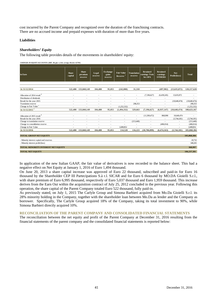cost incurred by the Parent Company and recognized over the duration of the franchising contracts. There are no accrued income and prepaid expenses with duration of more than five years.

#### **Liabilities**

# *Shareholders' Equity*

The following table provides details of the movements in shareholders' equity:

**CHANGES IN EQUITY ACCOUNTS (ART. 38, par. 1, lett. c) Legs. Decree 127/91)**

| in Euro                                   | <b>Share</b><br>capital | <b>Share</b><br>premium<br>reserve | Legal<br>reserve         | <b>Exchange</b><br>gains<br>reserve | <b>Fair Value</b><br>Reserve | <b>Translation</b><br>reserve | <b>Retained</b><br>earnings Twin<br>Set SPA | <b>Retained</b><br>earnings<br><b>OTHERS</b> | <b>Net</b><br>Profit/(loss) | <b>Total</b> |
|-------------------------------------------|-------------------------|------------------------------------|--------------------------|-------------------------------------|------------------------------|-------------------------------|---------------------------------------------|----------------------------------------------|-----------------------------|--------------|
|                                           |                         |                                    |                          |                                     |                              |                               |                                             |                                              |                             |              |
| At 31/12/2014                             |                         | 522,400 133,840,149                | 104,480                  | 95,055                              | (242,000)                    | 31,310                        |                                             | (497, 902)                                   | (13, 635, 872)              | 120,217,620  |
| Allocation of 2014 $\mathrm{result}^2$    |                         |                                    |                          |                                     |                              | $\overline{\phantom{m}}$      | (7,196,627)                                 | (6,439,245)                                  | 13,635,872                  | ÷            |
| Distribution of dividends                 |                         | ٠                                  | ٠                        |                                     | $\sim$                       | ٠                             | ٠                                           | $\sim$                                       |                             | $\sim$       |
| Result for the year 2015                  |                         | ٠                                  | $\overline{\phantom{a}}$ |                                     |                              | ٠                             | ÷.                                          | $\sim$                                       | (10,640,474)                | (10,640,474) |
| <b>Translation reserve</b>                | $\sim$                  | $\sim$                             | $\sim$                   | $\sim$                              | $\sim$                       | 298,353                       | $\sim$                                      | $\sim$                                       | $\sim$                      | 298.353      |
| Change in Fair Value                      |                         |                                    | ٠                        | $\sim$                              | (1,252,332)                  | ٠                             | ٠                                           | $\sim$                                       | ٠                           | (1,252,332)  |
| At $31/12/2015$ <sup>1</sup>              | 522,400                 | 133,840,149                        | 104.480                  | 95,055                              | (1, 494, 332)                | 329,663                       | (7, 196, 627)                               | (6.937.147)                                  | (10,640,474)                | 108,623,167  |
|                                           |                         |                                    |                          |                                     |                              |                               |                                             |                                              |                             |              |
| Allocation of 2015 result 3               |                         | $\sim$                             | ٠                        | $\sim$                              | $\sim$                       | $\sim$                        | (11,509,472)                                | 868,998                                      | 10,640,474                  | $\sim$       |
| Result for the year 2016                  |                         | ٠                                  | ٠                        |                                     | ٠                            |                               | ٠                                           | ÷.                                           | (3,744,181)                 | (3,744,181)  |
| Change to translation reserve             | ٠                       | $\sim$                             | $\sim$                   | $\sim$                              | $\blacksquare$               | (213,440)                     | $\sim$                                      | $\sim$                                       | $\sim$                      | (213,440)    |
| Change to consolidation reserve           |                         | $\sim$                             | и.                       | $\overline{\phantom{a}}$            | $\overline{a}$               | $\sim$                        | $\sim$                                      | (406, 014)                                   | $\sim$                      | (406, 014)   |
| Change in Fair Value                      |                         |                                    |                          |                                     | 1,608,852                    | ä,                            | ÷,                                          |                                              | $\overline{\phantom{a}}$    | 1,608,852    |
| At 31/12/2016                             | 522,400                 | 133,840,149                        | 104.480                  | 95.055                              | 114.520                      | 116,223                       | (18,706,099)                                | (6, 474, 163)                                | (3,744,181)                 | 105,868,384  |
| <b>TOTAL GROUP NET EQUITY</b>             |                         |                                    |                          |                                     |                              |                               |                                             |                                              |                             | 105,868,384  |
| - Minority interest capital and reserves  |                         |                                    |                          |                                     |                              |                               |                                             |                                              |                             | 20,732       |
| - Minority interest profit/(loss)         |                         |                                    |                          |                                     |                              |                               |                                             |                                              |                             | 348,265      |
| <b>TOTAL MINORITY INTEREST NET EQUITY</b> |                         |                                    |                          |                                     |                              |                               |                                             |                                              |                             | 368,997      |
| <b>TOTAL NET EQUITY</b>                   |                         |                                    |                          |                                     |                              |                               |                                             |                                              |                             | 106,237,381  |

In application of the new Italian GAAP, the fair value of derivatives is now recorded to the balance sheet. This had a negative effect on Net Equity at January 1, 2016 of Euro 1,494 thousand.

On June 20, 2013 a share capital increase was approved of Euro 22 thousand, subscribed and paid-in for Euro 16 thousand by the Shareholder CEP III Partecipations S.à r.l. SICAR and for Euro 6 thousand by MO.DA Gioielli S.r.l., with share premium of Euro 6,995 thousand, respectively of Euro 5,037 thousand and Euro 1,959 thousand. This increase derives from the Earn Out within the acquisition contract of July 25, 2012 concluded in the previous year. Following this operation, the share capital of the Parent Company totaled Euro 522 thousand, fully paid-in.

As previously stated, on July 1, 2015 The Carlyle Group and Simona Barbieri acquired from Mo.Da Gioielli S.r.l. its 28% minority holding in the Company, together with the shareholder loan between Mo.Da as lender and the Company as borrower. Specifically, The Carlyle Group acquired 18% of the Company, taking its total investment to 90%, while Simona Barbieri directly acquired 10%.

# **RECONCILIATION OF THE PARENT COMPANY AND CONSOLIDATED FINANCIAL STATEMENTS**

The reconciliation between the net equity and profit of the Parent Company at December 31, 2016 resulting from the financial statements of the parent company and the consolidated financial statements is reported below: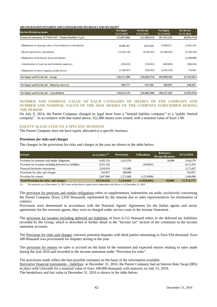**RECONCILIATION OF PARENT AND CONSOLIDATED NET RESULT AND NET EQUITY**

| <b>Reclassification accounts</b>                               | <b>Net Equity</b><br>31/12/2015 | <b>Net Result</b><br>31/12/2015 | <b>Net Equity</b><br>31/12/2016 | <b>Net Result</b><br>31/12/2016 |
|----------------------------------------------------------------|---------------------------------|---------------------------------|---------------------------------|---------------------------------|
| Financial statements of TWIN SET - Simona Barbieri S.p.A.      | 115,855,984                     | (11,509,473)                    | 107,351,335                     | (8,619,170)                     |
|                                                                |                                 |                                 |                                 |                                 |
| - Elimination of carrying value of investments in subsidiaries | 10.988.783                      | 9,975,406                       | 23,889,931                      | 12,901,148                      |
| - Result reported by subsidiaries                              | (14,250,139)                    | (8,493,581)                     | (22, 288, 285)                  | (5,709,328)                     |
| - Elimination of dividends from subsidiaries                   |                                 |                                 |                                 | (2,289,690)                     |
| - Amortisation of start up and formation expenses              | (236, 522)                      | (118,261)                       | (443,063)                       | (206, 541)                      |
| - Elimination of inter-company profits/losses                  | (2,240,607)                     | (494, 565)                      | (2,641,534)                     | 179,400                         |
| <b>Net Equity and Net Result - Group</b>                       | 110,117,499                     | (10,640,474)                    | 105,868,384                     | (3,744,181)                     |
| <b>Net Equity and Net Result - Minority interests</b>          | 494,777                         | 233,766                         | 368,997                         | 348,265                         |
| <b>Net Equity and Net Result - Consolidated</b>                | 110,612,276                     | (10, 406, 708)                  | 106,237,381                     | (3,395,916)                     |

# **NUMBER AND NOMINAL VALUE OF EACH CATEGORY OF SHARES OF THE COMPANY AND NUMBER AND NOMINAL VALUE OF THE NEW SHARES OF THE COMPANY SUBSCRIBED DURING THE PERIOD**

On July 9, 2014, the Parent Company changed its legal form from a "limited liability company" to a "public limited company". In accordance with that stated above, 522,400 shares were issued, with a nominal value of Euro 1.00.

# **EQUITY ALLOCATED TO A SPECIFIC BUSINESS**

The Parent Company does not have equity allocated to a specific business.

#### *Provisions for risks and charges*

The changes in the provisions for risks and charges in the year are shown in the table below:

| in Euro                                                    | $31/12/2015^{(1)}$ | <b>Provisions</b>        | <b>Utilisations</b>      | Releases/<br><b>Reclassifications</b> | 31/12/2016 |
|------------------------------------------------------------|--------------------|--------------------------|--------------------------|---------------------------------------|------------|
| Provision for pensions and similar obligations             | 4.432.216          | 1.421.976                |                          | 56,086                                | 5,910,278  |
| Provision for taxation, including deferred tax liabilities | 6,551,536          | $\overline{\phantom{a}}$ | (439,601)                | $\sim$                                | 6,111,935  |
| Financial derivative instruments                           | 2.019.919          | 151.688                  | $\overline{\phantom{a}}$ |                                       | 2,171,607  |
| Provisions for risks and charges                           | 633.957            | 300,000                  | $\overline{\phantom{a}}$ |                                       | 933,957    |
| Provision for returns                                      | 2.697,000          | 1.271.000                | (1,519,000)              |                                       | 2,449,000  |
| <b>Total Provision for risks and charges</b>               | 16,334,628         | 3,144,664                | (1,958,601)              | 56,086                                | 17,576,777 |

(1) The amounts as of December 31, 2015 were reclassified to make them comparable with those as of December 31, 2016

The provision for pensions and similar obligations refers to supplementary indemnities set aside, exclusively concerning the Parent Company (Euro 5,910 thousand), represented by the amount due to sales representatives for termination of contract.

Provisions were determined in accordance with the National Agents' Agreement for the Italian agents and sector agreements for the overseas agents; they were re-charged under service costs in the Income Statement.

The provision for taxation including deferred tax liabilities of Euro 6,112 thousand refers to the deferred tax liabilities recorded by the Group, which is described in further detail in the "Income tax" section of the comments to the income statement accounts.

The Provision for risks and charges concerns potential disputes with third parties amounting to Euro 934 thousand. Euro 300 thousand was provisioned for disputes arising in the year.

The provision for returns on sales is accrued on the basis of the estimated and expected returns relating to sales made during the year 2016 and recorded in the income statement under "Provision for risks".

The provisions made reflect the best possible estimates on the basis of the information available.

Derivative financial instruments - liabilities: at December 31, 2016, the Parent Company had an Interest Rate Swap (IRS) in place with Unicredit for a nominal value of Euro 100,000 thousand, with maturity on July 15, 2019. The breakdown and fair value at December 31, 2016 is shown in the table below: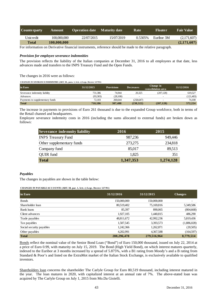| <b>Counterparty</b> | <b>Amount</b> | Operation date   Maturity date |            | Rate    | <b>Floater</b> | <b>Fair Value</b> |
|---------------------|---------------|--------------------------------|------------|---------|----------------|-------------------|
| Unicredit           | 100,000,000   | 22/07/2015                     | 15/07/2019 | 0.5305% | Euribor 3M     | (2,171,607)       |
| <b>Total</b>        | 100,000,000   |                                |            |         |                | (2,171,607)       |

For information on Derivative financial instruments, reference should be made to the relative paragraph.

# *Provision for employee severance indemnities*

The provision reflects the liability of the Italian companies at December 31, 2016 to all employees at that date, less advances made and transfers to the INPS Treasury Fund and the Open Funds.

The changes in 2016 were as follows:

**CHANGES IN SEVERANCE INDEMNITIES (ART. 38., para. 1, lett. c) Legs. Decree 127/91)**

| in Euro                         | 31/12/2015 | <b>Provisions</b> | <b>Decreases</b>         | Change in<br>consolidation area | 31/12/2016 |
|---------------------------------|------------|-------------------|--------------------------|---------------------------------|------------|
| Severance indemnity liability   | 731.386    | 74.944            | 20.325                   | (207.128)                       | 619.527    |
| Advances                        | (93.303)   | (28,100)          | $\overline{\phantom{0}}$ | $\overline{\phantom{a}}$        | (121, 403) |
| Payments to supplementary funds | 72.103     | 260,644           | (258, 647)               | $\overline{\phantom{0}}$        | 74.100     |
| <b>Total</b>                    | 710.186    | 307.488           | (238, 322)               | (207, 128)                      | 572,224    |

The increase in payments to provisions of Euro 261 thousand is due to the expanded Group workforce, both in terms of the Retail channel and headquarters.

Employee severance indemnity costs in 2016 (including the sums allocated to external funds) are broken down as follows:

| <b>Severance indemnity liability</b> | 2016      | 2015      |
|--------------------------------------|-----------|-----------|
| <b>INPS Treasury Fund</b>            | 987,236   | 949,446   |
| Other supplementary funds            | 273,275   | 234,818   |
| Company fund                         | 85,017    | 89,513    |
| <b>QUIR</b> fund                     | 1,825     | 351       |
| <b>Total</b>                         | 1,347,353 | 1,274,128 |

# *Payables*

The changes in payables are shown in the table below:

**CHANGES IN PAYABLE ACCO UNTS (ART. 38, par. 1, lett. c) Legs. Decree 127/91)**

| in Euro                  | 31/12/2016  | 31/12/2015  | <b>Changes</b> |
|--------------------------|-------------|-------------|----------------|
|                          |             |             |                |
| <b>Bonds</b>             | 150,000,000 | 150,000,000 |                |
| Shareholder loan         | 80,519,402  | 75,169,816  | 5,349,586      |
| Bank loans               | 85,397      | 890,065     | (804, 668)     |
| Client advances          | 1,927,105   | 1,440,815   | 486,290        |
| Trade payables           | 48,811,672  | 42,992,236  | 5,819,436      |
| Tax payables             | 1,507,545   | 3,393,573   | (1,886,028)    |
| Social security payables | 1,242,366   | 1,262,871   | (20,505)       |
| Other payables           | 4.202.991   | 4,367,588   | (164, 597)     |
| <b>Total</b>             | 288,296,478 | 279,516,964 | 8,779,514      |

Bonds reflect the nominal value of the Senior Bond Loan ("Bond") of Euro 150,000 thousand, issued on July 22, 2014 at a price of Euro 0.99, with maturity on July 15, 2019. The Bond (High Yield Bond), on which interest matures quarterly, indexed to the Euribor at 3 months increased by a spread of 5.875%, with a B1 rating from Moody's and a B rating from Standard & Poor's and listed on the ExtraMot market of the Italian Stock Exchange, is exclusively available to qualified investors.

Shareholders loan concerns the shareholder The Carlyle Group for Euro 80,519 thousand, including interest matured in the year. The loan matures in 2020, with capitalized interest at an annual rate of 7%. The above-stated loan was acquired by The Carlyle Group on July 1, 2015 from Mo.Da Gioielli.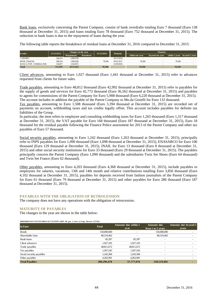Bank loans, exclusively concerning the Parent Company, consist of bank overdrafts totaling Euro 7 thousand (Euro 138 thousand at December 31, 2015) and loans totaling Euro 78 thousand (Euro 752 thousand at December 31, 2015). The reduction in bank loans is due to the repayment of loans during the year.

The following table reports the breakdown of residual loans at December 31, 2016 compared to December 31, 2015:

| Lender                 | 31/12/2015 | Changes in the year |                 | 31/12/2016               | <b>Maturity</b> |                 | Maturity         |                |                |
|------------------------|------------|---------------------|-----------------|--------------------------|-----------------|-----------------|------------------|----------------|----------------|
|                        |            | <b>Repayments</b>   | <b>Drawdown</b> |                          |                 | within one year | bevond one year. | within 5 years | bevond 5 years |
| <b>CARISBO</b>         | 206,678    | (206, 678)          |                 | $\overline{\phantom{a}}$ | 29/12/2016      |                 |                  |                |                |
| BPER (3564210)         | 388.324    | (309, 928)          |                 | 78.396                   | 29/01/2017      | 78.396          |                  | 78.396         |                |
| BANCA POP. COMM.& IND. | 156,957    | (156.957)           |                 | $\overline{\phantom{a}}$ | 21/09/2016      |                 |                  |                |                |
| <b>Total</b>           | 751.959    | (673.563)           |                 | 78.396                   |                 | 78.396          |                  | 78.396         |                |

Client advances, amounting to Euro 1,927 thousand (Euro 1,441 thousand at December 31, 2015) refer to advances requested from clients for future sales.

Trade payables, amounting to Euro 48,812 thousand (Euro 42,992 thousand at December 31, 2015) refer to payables for the supply of goods and services for Euro 42,772 thousand (Euro 36,562 thousand at December 31, 2015) and payables to agents for commissions of the Parent Company for Euro 5,908 thousand (Euro 6,220 thousand at December 31, 2015). The account includes in addition the payable of the Parent Company to Mo.da Gioielli for Euro 132 thousand.

Tax payables, amounting to Euro 1,508 thousand (Euro 3,394 thousand at December 31, 2015) are recorded net of payments on account, withholding taxes and tax credits legally offset. This account includes payables for definite tax liabilities of the Group.

In particular, the item refers to employee and consulting withholding taxes for Euro 1,265 thousand (Euro 1,317 thousand at December 31, 2015), the VAT payable for Euro 168 thousand (Euro 187 thousand at December 31, 2015), Euro 18 thousand for the residual payable following the Finance Police assessment for 2013 of the Parent Company and other tax payables of Euro 57 thousand.

Social security payables, amounting to Euro 1,242 thousand (Euro 1,263 thousand at December 31, 2015), principally refer to INPS payables for Euro 1,090 thousand (Euro 1,098 thousand at December 31, 2015), ENASARCO for Euro 106 thousand (Euro 129 thousand at December 31, 2015), INAIL for Euro 13 thousand (Euro 8 thousand at December 31, 2015) and other social security institutions for Euro 33 thousand (Euro 29 thousand at December 31, 2015). The payables principally concern the Parent Company (Euro 1,090 thousand) and the subsidiaries Twin Set Shoes (Euro 64 thousand) and Twin Set France (Euro 62 thousand).

Other payables, amounting to Euro 4,203 thousand (Euro 4,368 thousand at December 31, 2015), include payables to employees for salaries, vacations, 13th and 14th month and relative contributions totalling Euro 3,856 thousand (Euro 4,102 thousand at December 31, 2015), payables for deposits received from fashion journalists of the Parent Company for Euro 61 thousand (Euro 79 thousand at December 31, 2015) and other payables for Euro 286 thousand (Euro 187 thousand at December 31, 2015).

# **PAYABLES WITH THE OBLIGATION OF RETROCESSION**

The company does not have any operations with the obligation of retrocession.

#### **MATURITY OF PAYABLES**

The changes in the year are shown in the table below**:** 

BREAKDO WN OF PAYABLE ACCOUNTS (ART. 38, par. 1, lett. e) Legs. Decree 127/91)

| in Euro                  | <b>Total</b> | Amounts due within 1     | <b>Amounts</b> due       | Amounts due beyond 5 |
|--------------------------|--------------|--------------------------|--------------------------|----------------------|
|                          |              | year                     | from 1 to 5 years        | ye ars               |
| <b>B</b> onds            | 150,000,000  | $\sim$                   | 150,000,000              |                      |
| Shareholder loan         | 80,519,402   | $\overline{\phantom{0}}$ | 80,519,402               |                      |
| Bank loans               | 85.397       | 85,397                   | $\overline{\phantom{m}}$ |                      |
| Client advances          | 1,927,105    | 1,927,105                | $\overline{\phantom{0}}$ |                      |
| Trade payables           | 48,811,672   | 48,811,672               |                          |                      |
| Tax payables             | 1,507,545    | 1,507,545                |                          |                      |
| Social security payables | 1,242,366    | 1,242,366                |                          |                      |
| Other payables           | 4.202.991    | 4.202.991                | $\sim$                   |                      |
| <b>Total Payables</b>    | 288,296,478  | 57,777,076               | 230,519,402              |                      |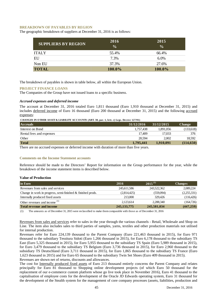#### **BREAKDOWN OF PAYABLES BY REGION**

The geographic breakdown of suppliers at December 31, 2016 is as follows:

| <b>SUPPLIERS BY REGION</b> | 2016<br>$\frac{0}{0}$ | 2015<br>$\frac{0}{0}$ |
|----------------------------|-----------------------|-----------------------|
| <b>ITALY</b>               | 55.4%                 | 66.4%                 |
| EU                         | 7.3%                  | $6.0\%$               |
| Non EU                     | 37.3%                 | 27.6%                 |
| <b>TOTAL</b>               | 100.0%                | 100.0%                |

The breakdown of payables is shown in table below, all within the European Union.

# **PROJECT FINANCE LOANS**

The Companies of the Group have not issued loans to a specific business.

# *Accrued expenses and deferred income*

The account at December 31, 2016 totaled Euro 1,811 thousand (Euro 1,910 thousand at December 31, 2015) and includes deferred income of Euro 16 thousand (Euro 200 thousand at December 31, 2015) and the following accrued expenses:

| <b>Accruals</b>          | 31/12/2016 | 31/12/2015 | <b>Change</b> |
|--------------------------|------------|------------|---------------|
| Interest on Bond         | 1.757.438  | 1.891.056  | (133,618)     |
| Rental fees and expenses | 17.409     | 17.033     | 376           |
| Other                    | 20.594     | 2.002      | 18,592        |
| <b>Total</b>             | 1,795,441  | 1,910,091  | (114, 650)    |

There are no accrued expenses or deferred income with duration of more than five years.

#### **Comments on the Income Statement accounts**

Reference should be made to the Directors' Report for information on the Group performance for the year, while the breakdown of the income statement items is described below.

# **Value of Production**

| in Euro                                                     | 2016          | $2015^{(1)}$ | <b>Changes</b> |
|-------------------------------------------------------------|---------------|--------------|----------------|
| Revenues from sales and services                            | 245.611.586   | 243,522,362  | 2,089,224      |
| Change in work in progress, semi-finished & finished prods. | (2,814,425)   | (559.094)    | (2,255,331)    |
| Internally produced fixed assets                            | 213,000       | 329.426      | (116, 426)     |
| Other revenues and income <sup>(1)</sup>                    | 2.123.614     | 2.288.340    | (164, 726)     |
| <b>Total revenue and income</b>                             | 245, 133, 775 | 245,581,034  | (447, 259)     |

(1) The amounts as of December 31, 2015 were reclassified to make them comparable with those as of December 31, 2016

Revenues from sales and services refer to sales in the year through the various channels - Retail, Wholesale and Shop on Line. The item also includes sales to third parties of samples, yarns, textiles and other production materials not utilised for internal production.

Revenues refer for Euro 224,139 thousand to the Parent Company (Euro 221,463 thousand in 2015), for Euro 971 thousand to the subsidiary Tessitura Sidoti (Euro 1,266 thousand in 2015), for Euro 6,178 thousand to the subsidiary TS East (Euro 5,325 thousand in 2015), for Euro 5,955 thousand to the subsidiary TS Spain (Euro 5,989 thousand in 2015), for Euro 3,479 thousand to the subsidiary TS Belgium (Euro 3,736 thousand in 2015), for Euro 2,960 thousand to the subsidiary TS Deutschland (Euro 3,711 thousand in 2015), for Euro 1,865 thousand to the subsidiary TS France (Euro 1,623 thousand in 2015) and for Euro 65 thousand to the subsidiary Twin Set Shoes (Euro 409 thousand in 2015). Revenues are shown net of returns, discounts and allowances.

The cost for Internally produced fixed assets of Euro 213 thousand entirely concerns the Parent Company and relates principally for Euro 81 thousand to Shopping online development projects (of which Euro 50 thousand for the replacement of our e-commerce custom platform whose go live took place in November 2016), Euro 41 thousand to the capitalisation of employee costs for the development of the Oracle JD Edwards operating system, Euro 31 thousand for the development of the Stealth system for the management of core company processes (assets, liabilities, production and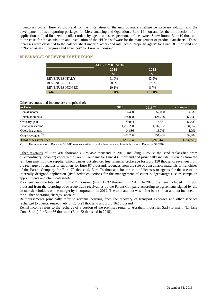inventories cycle), Euro 28 thousand for the installation of the new business intelligence software solution and the development of two reporting packages for Merchandising and Operations, Euro 14 thousand for the introduction of an application on Ipad finalized to collect orders by agents and sales personnel of the owned Show Room, Euro 10 thousand to the costs for the acquisition and installation of the "PLM" software for the management of product datasheets. These increases were classified to the balance sheet under "Patents and intellectual property rights" for Euro 181 thousand and to "Fixed assets in progress and advances" for Euro 32 thousand.

#### **BREAKDOWN OF REVENUES BY REGION**

| <b>SALES BY REGION</b> |               |               |  |  |  |
|------------------------|---------------|---------------|--|--|--|
|                        | 2016          | 2015          |  |  |  |
|                        | $\frac{0}{0}$ | $\frac{0}{0}$ |  |  |  |
| <b>REVENUES ITALY</b>  | 61.0%         | 63.5%         |  |  |  |
| <b>REVENUES EU</b>     | 28.9%         | 27.8%         |  |  |  |
| <b>REVENUES NON EU</b> | 10.1%         | 8.7%          |  |  |  |
| <b>Total</b>           | 100.0%        | $100.0\%$     |  |  |  |

#### Other revenues and income are comprised of:

| in Euro                     | 2016      | $2015^{(1)}$ |            |
|-----------------------------|-----------|--------------|------------|
| Rental income               | 56,400    | 52,070       | 4,330      |
| Reimbursements              | 184,838   | 124.298      | 60,540     |
| Ordinary gains              | 79,044    | 14,561       | 64,483     |
| Prior year income           | 1,297,230 | 1,632,182    | (334,952)  |
| Operating grants            | 14,836    | 13,745       | 1,091      |
| Other revenues $(1)$        | 491.266   | 451.484      | 39,782     |
| <b>Total other revenues</b> | 2,123,614 | 2,288,340    | (164, 726) |

(1) The amounts as of December 31, 2015 were reclassified to make them comparable with those as of December 31, 2016

Other revenues of Euro 491 thousand (Euro 452 thousand in 2015, including Euro 38 thousand reclassified from "Extraordinary income") concern the Parent Company for Euro 437 thousand and principally include: revenues from the reimbursement by the supplier which carries out also tax free financial brokerage for Euro 150 thousand, revenues from the recharge of penalties to suppliers for Euro 87 thousand, revenues from the sale of consumable materials to franchises of the Parent Company for Euro 70 thousand, Euro 74 thousand for the sale of licenses to agents for the use of an internally designed application (iPad order collection) for the management of client budgets/targets, sales campaign appointments and client datasheets.

Prior year income totalled Euro 1,297 thousand (Euro 1,632 thousand in 2015). In 2015, the item included Euro 900 thousand from the factoring of overdue trade receivables by the Parent Company according to agreements signed by the former shareholders on the merger by incorporation in 2012. The total amount was offset by a similar amount included in the "Other operating charges" account.

Reimbursements principally refer to revenue deriving from the recovery of transport expenses and other services recharged to clients, respectively of Euro 23 thousand and Euro 162 thousand.

Rental income refers to the recharge of a portion of the premises rental to Abraham Industries S.r.l (formerly "Liviana Conti S.r.l.") for Euro 56 thousand (Euro 52 thousand in 2015).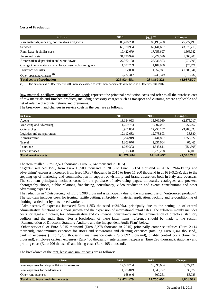# **Costs of Production**

| in Euro                                                   | 2016        | $2015^{(1)}$ | <b>Changes</b> |
|-----------------------------------------------------------|-------------|--------------|----------------|
| Raw materials, ancillary, consumables and goods           | 80,416,268  | 86,193,458   | (5,777,190)    |
| <b>Services</b>                                           | 63,570,984  | 67,141,697   | (3,570,713)    |
| Rent, lease & similar costs                               | 19,422,679  | 17,755,697   | 1,666,982      |
| Personnel costs                                           | 31,790,996  | 30,227,596   | 1,563,400      |
| Amortisation, depreciation and write-downs                | 27,362,198  | 28,336,503   | (974, 305)     |
| Change in raw materials, ancillary, consumables and goods | 1,082,209   | 1,107,980    | (25,771)       |
| Provisions for risks                                      | 52,000      | 1,352,941    | (1,300,941)    |
| Other operating charges <sup>(1)</sup>                    | 2,227,317   | 2,746,349    | (519,032)      |
| <b>Total costs of production</b>                          | 225,924,651 | 234,862,221  | (8,937,570)    |

(1) The amounts as of December 31, 2015 were reclassified to make them comparable with those as of December 31, 2016

Raw material, ancillary, consumables and goods represent the principal production costs and refer to all the purchase cost of raw materials and finished products, including accessory charges such as transport and customs, where applicable and net of relative discounts, returns and premiums.

The breakdown and changes in service costs in the year are as follows:

| in Euro                      | 2016       | 2015       | <b>Changes</b> |
|------------------------------|------------|------------|----------------|
| Agents                       | 13,134,063 | 15,509,080 | (2,375,017)    |
| Marketing and advertising    | 11,259,754 | 10,307,087 | 952,667        |
| Outsourcing                  | 8,961,864  | 12,950,187 | (3,988,323)    |
| Logistics and transportation | 12,112,683 | 12,073,803 | 38,880         |
| Administrative               | 6,794,919  | 5,441,897  | 1,353,022      |
| Travel                       | 1,303,070  | 1,237,604  | 65,466         |
| Insurance                    | 1,089,303  | 1,343,811  | (254,508)      |
| Other services               | 8,915,328  | 8,278,228  | 637,100        |
| <b>Total service costs</b>   | 63,570,984 | 67,141,697 | (3,570,713)    |

The item totalled Euro 63,571 thousand (Euro 67,142 thousand in 2015).

"Agents" reduced 15%, from Euro 15,509 thousand in 2015 to Euro 13,134 thousand in 2016. "Marketing and advertising" expenses increased from Euro 10,307 thousand in 2015 to Euro 11,260 thousand in 2016 (+9.2%), due to the stepping up of marketing and communication in support of visibility and brand awareness both in Italy and overseas. The sub-item principally includes costs for the purchase of advertising pages, billboards, catalogues and pockets, photography shoots, public relations, franchising, consultancy, video production and events contributions and other advertising expenses.

The reduction in "Outsourcing" of Euro 3,988 thousand is principally due to the increased use of "outsourced products". The sub-item includes costs for ironing, textile cutting, embroidery, material application, packing and re-conditioning of clothing carried out by outsourced workers.

"Administrative" expenses increased Euro 1,353 thousand (+24.9%), principally due to the setting up of central administrative functions to support growth and the expansion of international retail sales. The sub-item mainly includes costs for legal and notary, tax, administrative and commercial consultancy and the remuneration of directors, statutory auditors and the audit firm. For a breakdown of these latter items, reference should be made to the section "Remuneration of Directors, Statutory Auditors and the Independent Audit Firm" below.

"Other services" of Euro 8,915 thousand (Euro 8,278 thousand in 2015) principally comprise utilities (Euro 2,114 thousand), condominium expenses for stores and showrooms and cleaning expenses (totalling Euro 1,341 thousand), banking expenses (Euro 1,253 thousand), maintenance costs (Euro 892 thousand), quality control costs (Euro 675 thousand), employee canteen expenses (Euro 466 thousand), entertainment expenses (Euro 293 thousand), stationary and printing costs (Euro 206 thousand) and hiring costs (Euro 105 thousand).

The breakdown of the rent, lease and similar costs are as follows:

| in Euro                                     | 2016       | 2015       | <b>Changes</b> |
|---------------------------------------------|------------|------------|----------------|
| Rent expenses for shop, outlet and showroom | 17.668.784 | 16,096,664 | 1,572,120      |
| Rent expenses for headquarters              | 1.085.849  | 1,049,772  | 36,077         |
| Other rent expenses                         | 668,046    | 609.261    | 58,785         |
| Total rent, lease and similar costs         | 19,422,679 | 17,755,697 | 1,666,982      |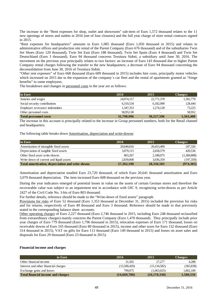The increase in the "Rent expenses for shop, outlet and showroom" sub-item of Euro 1,572 thousand relates to the 11 new openings of stores and outlets in 2016 (net of four closures) and the full year charge of store rental contracts signed in 2015.

"Rent expenses for headquarters" amounts to Euro 1,085 thousand (Euro 1,050 thousand in 2015) and relates to administrative offices and production site rental of the Parent Company (Euro 676 thousand) and of the subsidiaries Twin Set Shoes (Euro 120 thousand), Twin Set East (Euro 188 thousand), Twin Set Spain (Euro 4 thousand) and Twin Set Deutschland (Euro 3 thousand). Euro 94 thousand concerns Tessitura Sidoti, a subsidiary until June 30, 2016. The movement on the previous year principally relates to two factors: an increase of Euro 143 thousand due to higher Parent Company rental charges following the transfer to the new headquarters; a decrease of Euro 94 thousand concerning the deconsolidation from June 30, 2016 of Tessitura Sidoti.

"Other rent expenses" of Euro 668 thousand (Euro 609 thousand in 2015) includes hire costs, principally motor vehicles which increased on 2015 dur to the expansion of the company's car fleet and the rental of apartments granted as "fringe" benefits" to some employees.

The breakdown and changes in personnel costs in the year are as follows:

| in Euro                        | 2016       | 2015                     | <b>Changes</b> |
|--------------------------------|------------|--------------------------|----------------|
| Salaries and wages             | 24,074,157 | 22,771,378               | 1,302,779      |
| Social security contributions  | 6,310,534  | 6,182,090                | 128,444        |
| Employee severance indemnities | 1,347,353  | 1,274,128                | 73,225         |
| Other personnel costs          | 58,952.00  | $\overline{\phantom{0}}$ | 58,952         |
| <b>Total personnel costs</b>   | 31,790,996 | 30,227,596               | 1,563,400      |

The increase in this account is principally related to the increase in Group personnel numbers, both for the Retail channel and headquarters.

The following table breaks down Amortisation, depreciation and write-downs:

| in Euro                                          | 2016       | 2015       | <b>Changes</b> |
|--------------------------------------------------|------------|------------|----------------|
| Amortisation of intangible fixed assets          | 20,640,816 | 20,453,490 | 187,326        |
| Depreciation of tangible fixed assets            | 3.079.115  | 2,658,579  | 420.536        |
| Other fixed asset write-downs                    | 803.267    | 2,188,075  | (1,384,808)    |
| Write-down of current and liquid assets          | 2,839,000  | 3,036,359  | (197,359)      |
| Total amortisation, depreciation and write-downs | 27,362,198 | 28,336,503 | (974, 305)     |

Amortisation and depreciation totalled Euro 23,720 thousand, of which Euro 20,641 thousand amortisation and Euro 3,079 thousand depreciation. The item increased Euro 608 thousand on the previous year.

During the year indicators emerged of potential losses in value on the assets of certain German stores and therefore the recoverable value was subject to an impairment test in accordance with OIC 9, recognizing write-downs as per Article 2427 of the Civil Code No. 3-bis of Euro 803 thousand.

For further details, reference should be made to the "Write-down of fixed assets" paragraph.

Provisions for risks of Euro 52 thousand (Euro 1,353 thousand at December 31, 2015) included the provision for risks and for returns, respectively of Euro 49 thousand and Euro 3 thousand. Reference should be made to that previously stated in the corresponding balance sheet accounts.

Other operating charges of Euro 2,227 thousand (Euro 2,746 thousand in 2015, including Euro 248 thousand reclassified from extraordinary charges) mainly concerns the Parent Company (Euro 1,470 thousand). They principally include prior year charges of Euro 779 thousand (Euro 1,796 thousand in 2015), relocation expenses of Euro 171 thousand, losses on receivable downs of Euro 165 thousand (Euro 80 thousand in 2015), income and other taxes for Euro 132 thousand (Euro 314 thousand in 2015), VAT on gifts for Euro 113 thousand (Euro 149 thousand in 2015) and losses on asset sales and disposals for Euro 29 thousand (Euro 23 thousand in 2015).

#### **Financial income and charges**

| in Euro                                   | 2016         | 2015           | <b>Changes</b> |
|-------------------------------------------|--------------|----------------|----------------|
| Other financial income                    | 31.565       | 27.277         | 4.288          |
| Interest and other financial charges      | (15,500,420) | (15, 134, 582) | (365, 838)     |
| Exchange gains and losses                 | 799,075      | (1,063,025)    | 1,862,100      |
| <b>Total financial income and charges</b> | (14,669,780) | (16, 170, 330) | 1,500,550      |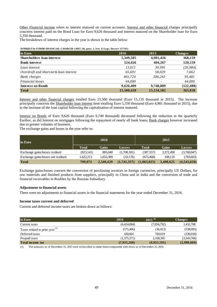Other Financial income refers to interest matured on current accounts. Interest and other financial charges principally concerns interest paid on the Bond Loan for Euro 9,626 thousand and interest matured on the Shareholder loan for Euro 5,350 thousand.

The breakdown of interest charges in the year is shown in the table below:

| in Euro                                | 2016       | 2015         | <b>Changes</b> |
|----------------------------------------|------------|--------------|----------------|
| <b>Shareholders loan interest</b>      | 5,349,585  | 4,981,426    | 368,159        |
| <b>Bank interest</b>                   | 524,426    | 404,267      | 120,159        |
| Loan interest                          | 13,011     | 39,995       | (26, 984)      |
| Overdraft and short-term loan interest | 65,691     | 58,029       | 7,662          |
| <b>Bank</b> charges                    | 401,724    | 306,243      | 95,481         |
| Financial losses                       | 44.000     |              | 44,000         |
| <b>Interest on Bonds</b>               | 9,626,409  | 9,748,889    | (122, 480)     |
| <b>Total</b>                           | 15,500,420 | 15, 134, 582 | 365,838        |

Interest and other financial charges totalled Euro 15,500 thousand (Euro 15,135 thousand in 2015). The increase principally concerns the Shareholder loan interest item totalling Euro 5,350 thousand (Euro 4,981 thousand in 2015), due to the increase of the loan capital following the capitalisation of interest matured.

Interest on Bonds of Euro 9,626 thousand (Euro 9,749 thousand) decreased following the reduction in the quarterly Euribor, as did Interest on mortgages following the repayment of nearly all bank loans; Bank charges however increased due to greater volumes of business.

The exchange gains and losses in the year refer to:

| in Euro                            |              | 2016         |               |              | 2015         |               |
|------------------------------------|--------------|--------------|---------------|--------------|--------------|---------------|
|                                    | <b>Total</b> | <b>Gains</b> | <b>Losses</b> | <b>Total</b> | <b>Gains</b> | <b>Losses</b> |
| Exchange gains/losses realised     | (823, 141)   | 885,040      | (1,708,181)   | (387, 557)   | 3,372,490    | (3,760,047)   |
| Exchange gains/losses not realised | 1,622,213    | 1.655.389    | (33.176)      | (675, 468)   | 108.135      | (783,603)     |
| <b>Total</b>                       | 799,072      | 2,540,429    | (1,741,357)   | (1,063,025)  | 3,480,625    | (4,543,650)   |

Exchange gains/losses concern the conversion of purchasing invoices in foreign currencies, principally US Dollars, for raw materials and finished products from suppliers, principally in China and in India and the conversion of trade and financial receivables in Roubles by the Russian Subsidiary.

#### **Adjustment to financial assets**

There were no adjustments to financial assets in the financial statements for the year ended December 31, 2016.

#### **Income taxes current and deferred**

Current and deferred income taxes are broken down as follows:

| in Euro                                    | 2016        | $2015^{(1)}$ | <b>Changes</b> |
|--------------------------------------------|-------------|--------------|----------------|
| Current taxes                              | (6,424,084) | (7,856,792)  | 1,432,708      |
| Taxes related to prior year <sup>(1)</sup> | (575, 406)  | (36, 413)    | (538,993)      |
| Deferred taxes                             | 439.601     | 769.619      | (330,018)      |
| Prepaid taxes                              | (1,375,371) | 2,168,395    | (3,543,766)    |
| <b>Total income tax</b>                    | (7,935,260) | (4,955,191)  | (2,980,069)    |

(1) The amounts as of December 31, 2015 were reclassified to make them comparable with those as of December 31, 2016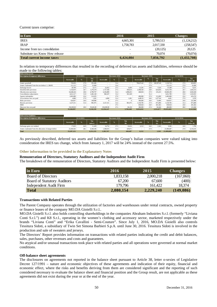Current taxes comprise:

| in Euro                         | 2016                     | 2015      | <b>Changes</b> |
|---------------------------------|--------------------------|-----------|----------------|
| <b>IRES</b>                     | 4.665.301                | 5,789,513 | (1,124,212)    |
| <b>IRAP</b>                     | 1.758.783                | 2,017,330 | (258, 547)     |
| Income from tax consolidation   | $\overline{\phantom{0}}$ | (20, 125) | 20,125         |
| Substitute tax Know How release | $\overline{\phantom{0}}$ | 70,074    | (70,074)       |
| Total current income taxes      | 6,424,084                | 7,856,792 | (1,432,708)    |

In relation to temporary differences that resulted in the recording of deferred tax assets and liabilities, reference should be made to the following tables:

| Deferred tax assets                             |            |               |                          |            |                |                          |            |                |                          |            |            |                           |
|-------------------------------------------------|------------|---------------|--------------------------|------------|----------------|--------------------------|------------|----------------|--------------------------|------------|------------|---------------------------|
| <b>Description of temporary differences</b>     |            | 31/12/2015    |                          |            | Decreases 2016 |                          |            | Increases 2016 |                          |            | 31/12/2016 |                           |
|                                                 | Assessable | $\frac{9}{6}$ | Tax<br>(a)               | Assessable | $\frac{9}{6}$  | Tax<br>(b)               | Assessable | $\frac{9}{6}$  | <b>Tax</b><br>(d)        | Assessable | $\%$       | <b>Tax</b><br>$(a-b-c+d)$ |
| Amort. goodwill                                 | 729,050    | 27.9          | 203,406                  | $\sim$     | 31.4           | $\sim$                   | 790,674.42 | 27.9           | 220,597.40               | 1.519.724  | 27.9       | 424,003                   |
| Amort. trademark Twin-Set not deduct. L. 266/05 | 111.112    | 27.9          | 31,000                   | $\sim$     | 31.4           | $\overline{\phantom{a}}$ | $\sim$     | 27.9           | $\overline{\phantom{a}}$ | 111.112    | 27.9       | 31,000                    |
| Exchange losses                                 | 29.709     | 27.5          | 8.171                    | 23.452     | 27.5           | 6.450                    | 31,291     | 24.0           | 7.510                    | 37.548     | 27.5       | 9.231                     |
| Doubtful debt provision                         | 5.142.819  | 24.7          | 1,270,278                | 1,727,568  | 27.5           | 450.614                  | 2.598.543  | 24.0           | 623.650                  | 6,013,794  | 24.7       | 1,443,314                 |
| Obsolescence provision                          | 16,648,244 | 28.8          | 4,799,797                | 6.256.889  | 31.4           | 1.898.453                | 448.834    | 27.9           | 125.225                  | 10,840,189 | 28.8       | 3,026,568                 |
| Consolidation adjustments                       | 4.612.127  | 31.8          | 1,465,140                | 960,347    | 31.4           | 301.549                  | $\sim$     | 31.4           | $\overline{\phantom{a}}$ | 3,651,780  | 31.8       | 1,163,591                 |
| Agents indemnities                              | 2,005,089  | 25.6          | 513,676                  | $\sim$     | 27.9           |                          | 400,000    | 27.9           | 111.600                  | 2,405,089  | 25.6       | 625.276                   |
| Associations fees not paid                      | 4.080      | 27.9          | 1.281                    | 4.080      | 31.4           | 1.281                    | 4,490.35   | 24.0           | 1.077.84                 | 4.491      | 27.9       | 1.078                     |
| Risks provision                                 | 624,957    | 24.0          | 149,990                  | $\Omega$   | 27.5           |                          | 300,000    | 24.0           | 72,000                   | 924,957    | 24.0       | 221.990                   |
| Returns provision                               | 3,127,311  | 31.4          | 981,975                  | 3,127,311  | 31.4           | 981.975                  | 3,130,785  | 27.9           | 873,490                  | 3,130,785  | 31.4       | 873,489                   |
| MBO                                             | $\sim$     | $\sim$        | $\overline{\phantom{a}}$ | $\sim$     | 27.5           | $\overline{\phantom{a}}$ | 839,924    | 24.0           | 201.582                  | 839,924    | 24.0       | 201,582                   |
| Directors fees not paid                         | 334,500.00 | 28.0          | 93,626,00                | 234,500.00 | 27.5           | 66.126                   | 380,090    | 27.9           | 94.346                   | 480,090    | 28.0       | 121.846                   |
| <b>Total</b>                                    | 33,368,997 |               | 9.518.339                | 12.334.147 |                | 3.706.448                | 8.924.632  |                | 2.331.077                | 29.959.483 |            | 8,142,968                 |

| Deferred tax liabilities                               |            |               |                  |            |      |                |            |      |                   |            |      |                    |
|--------------------------------------------------------|------------|---------------|------------------|------------|------|----------------|------------|------|-------------------|------------|------|--------------------|
| <b>Description of temporary differences</b>            | 31/12/2015 |               | Decreases 2016   |            |      | Increases 2016 |            |      | 31/12/2016        |            |      |                    |
|                                                        | Assessable | $\frac{9}{6}$ | Tax<br>$(a-b+c)$ | Assessable |      | Tax            | Assessable | $\%$ | <b>Tax</b><br>(c) | Assessable | 7    | Tax<br>$(a-b-c+d)$ |
| Exchange gains not realized                            | 17.623     | 64.9          | 11.429           | 14.752     | 27.5 | 10.616         | 6.512      | 24.0 | 1.563             | 9.382      | 24.0 | 1.700              |
| Amort. trademark Twin-Set allocation of merger deficit | 23,269,502 | 28.1          | 6,540,106        | 1,369,015  | 31.4 | 429,871        |            | 27.9 |                   | 21,900,487 | 27.9 | 6.110.235          |
| <b>Total</b>                                           | 23,287,125 |               | 6.551.535        | 1.383.767  |      | 440,487        | 6.512      |      | 1.563             | 21,909,869 |      | 6.111.935          |

As previously described, deferred tax assets and liabilities for the Group's Italian companies were valued taking into consideration the IRES tax change, which from January 1, 2017 will be 24% instead of the current 27.5%.

#### **Other information to be provided in the Explanatory Notes**

# **Remuneration of Directors, Statutory Auditors and the Independent Audit Firm**

The breakdown of the remuneration of Directors, Statutory Auditors and the Independent Audit Firm is presented below:

| in Euro                            | 2016      | 2015      | <b>Changes</b> |
|------------------------------------|-----------|-----------|----------------|
| <b>Board of Directors</b>          | 1,833,158 | 2,000,218 | (167,060)      |
| <b>Board of Statutory Auditors</b> | 67,200    | 67,600    | (400)          |
| Independent Audit Firm             | 179.796   | 161,422   | 18.374         |
| <b>Total</b>                       | 2,080,154 | 2,229,240 | (149,086)      |

#### **Transactions with Related Parties**

The Parent Company operates through the utilization of factories and warehouses under rental contracts, owned property or finance leases of the company MO.DA Gioielli S.r.l..

MO.DA Gioielli S.r.l. also holds controlling shareholdings in the companies Abraham Industries S.r.l. (formerly "Liviana Conti S.r.l.") and K8 S.r.l., operating in the women's clothing and accessory sector, marketed respectively under the brands "Liviana Conti" and "Erika Cavallini - Semi-Couture". Since July 1, 2016, MO.DA Gioielli also controls Tessitura Sidoti, a subsidiary of Twin Set Simona Barbieri S.p.A. until June 30, 2016. Tessitura Sidoti is involved in the production and sale of sweaters and jerseys.

The Directors' Report provides information on transactions with related parties indicating the credit and debit balances, sales, purchases, other revenues and costs and guarantees.

No atypical and/or unusual transactions took place with related parties and all operations were governed at normal market conditions.

#### **Off-balance sheet agreements**

The disclosures on agreements not reported in the balance sheet pursuant to Article 38, letter o-sexies of Legislative Decree 127/1991 – nature and economic objectives of these agreements and indication of their equity, financial and economic effect, where the risks and benefits deriving from them are considered significant and the reporting of such considered necessary to evaluate the balance sheet and financial position and the Group result, are not applicable as these agreements did not exist during the year or at the end of the year.